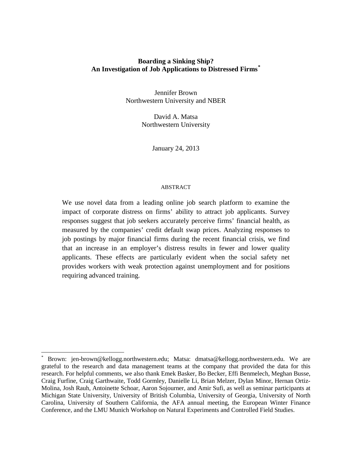# **Boarding a Sinking Ship? An Investigation of Job Applications to Distressed Firms\***

Jennifer Brown Northwestern University and NBER

> David A. Matsa Northwestern University

> > January 24, 2013

# ABSTRACT

We use novel data from a leading online job search platform to examine the impact of corporate distress on firms' ability to attract job applicants. Survey responses suggest that job seekers accurately perceive firms' financial health, as measured by the companies' credit default swap prices. Analyzing responses to job postings by major financial firms during the recent financial crisis, we find that an increase in an employer's distress results in fewer and lower quality applicants. These effects are particularly evident when the social safety net provides workers with weak protection against unemployment and for positions requiring advanced training.

l

<sup>\*</sup> Brown: jen-brown@kellogg.northwestern.edu; Matsa: dmatsa@kellogg.northwestern.edu. We are grateful to the research and data management teams at the company that provided the data for this research. For helpful comments, we also thank Emek Basker, Bo Becker, Effi Benmelech, Meghan Busse, Craig Furfine, Craig Garthwaite, Todd Gormley, Danielle Li, Brian Melzer, Dylan Minor, Hernan Ortiz-Molina, Josh Rauh, Antoinette Schoar, Aaron Sojourner, and Amir Sufi, as well as seminar participants at Michigan State University, University of British Columbia, University of Georgia, University of North Carolina, University of Southern California, the AFA annual meeting, the European Winter Finance Conference, and the LMU Munich Workshop on Natural Experiments and Controlled Field Studies.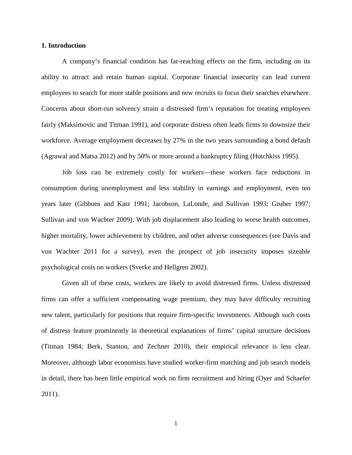# **1. Introduction**

A company's financial condition has far-reaching effects on the firm, including on its ability to attract and retain human capital. Corporate financial insecurity can lead current employees to search for more stable positions and new recruits to focus their searches elsewhere. Concerns about short-run solvency strain a distressed firm's reputation for treating employees fairly (Maksimovic and Titman 1991), and corporate distress often leads firms to downsize their workforce. Average employment decreases by 27% in the two years surrounding a bond default (Agrawal and Matsa 2012) and by 50% or more around a bankruptcy filing (Hotchkiss 1995).

Job loss can be extremely costly for workers—these workers face reductions in consumption during unemployment and less stability in earnings and employment, even ten years later (Gibbons and Katz 1991; Jacobson, LaLonde, and Sullivan 1993; Gruber 1997; Sullivan and von Wachter 2009). With job displacement also leading to worse health outcomes, higher mortality, lower achievement by children, and other adverse consequences (see Davis and von Wachter 2011 for a survey), even the prospect of job insecurity imposes sizeable psychological costs on workers (Sverke and Hellgren 2002).

Given all of these costs, workers are likely to avoid distressed firms. Unless distressed firms can offer a sufficient compensating wage premium, they may have difficulty recruiting new talent, particularly for positions that require firm-specific investments. Although such costs of distress feature prominently in theoretical explanations of firms' capital structure decisions (Titman 1984; Berk, Stanton, and Zechner 2010), their empirical relevance is less clear. Moreover, although labor economists have studied worker-firm matching and job search models in detail, there has been little empirical work on firm recruitment and hiring (Oyer and Schaefer 2011).

1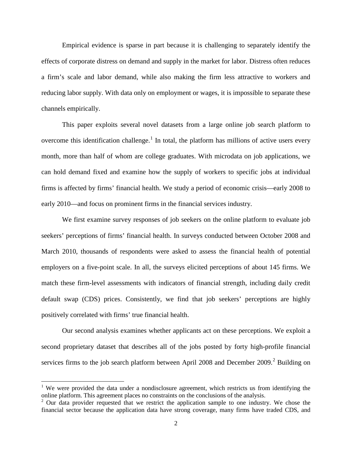Empirical evidence is sparse in part because it is challenging to separately identify the effects of corporate distress on demand and supply in the market for labor. Distress often reduces a firm's scale and labor demand, while also making the firm less attractive to workers and reducing labor supply. With data only on employment or wages, it is impossible to separate these channels empirically.

This paper exploits several novel datasets from a large online job search platform to overcome this identification challenge.<sup>1</sup> In total, the platform has millions of active users every month, more than half of whom are college graduates. With microdata on job applications, we can hold demand fixed and examine how the supply of workers to specific jobs at individual firms is affected by firms' financial health. We study a period of economic crisis—early 2008 to early 2010—and focus on prominent firms in the financial services industry.

We first examine survey responses of job seekers on the online platform to evaluate job seekers' perceptions of firms' financial health. In surveys conducted between October 2008 and March 2010, thousands of respondents were asked to assess the financial health of potential employers on a five-point scale. In all, the surveys elicited perceptions of about 145 firms. We match these firm-level assessments with indicators of financial strength, including daily credit default swap (CDS) prices. Consistently, we find that job seekers' perceptions are highly positively correlated with firms' true financial health.

Our second analysis examines whether applicants act on these perceptions. We exploit a second proprietary dataset that describes all of the jobs posted by forty high-profile financial services firms to the job search platform between April 2008 and December 2009.<sup>2</sup> Building on

 $\overline{\phantom{a}}$ 

<sup>&</sup>lt;sup>1</sup> We were provided the data under a nondisclosure agreement, which restricts us from identifying the online platform. This agreement places no constraints on the conclusions of the analysis.

 $2$  Our data provider requested that we restrict the application sample to one industry. We chose the financial sector because the application data have strong coverage, many firms have traded CDS, and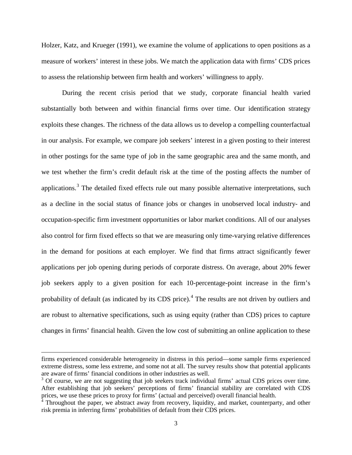Holzer, Katz, and Krueger (1991), we examine the volume of applications to open positions as a measure of workers' interest in these jobs. We match the application data with firms' CDS prices to assess the relationship between firm health and workers' willingness to apply.

During the recent crisis period that we study, corporate financial health varied substantially both between and within financial firms over time. Our identification strategy exploits these changes. The richness of the data allows us to develop a compelling counterfactual in our analysis. For example, we compare job seekers' interest in a given posting to their interest in other postings for the same type of job in the same geographic area and the same month, and we test whether the firm's credit default risk at the time of the posting affects the number of applications.<sup>3</sup> The detailed fixed effects rule out many possible alternative interpretations, such as a decline in the social status of finance jobs or changes in unobserved local industry- and occupation-specific firm investment opportunities or labor market conditions. All of our analyses also control for firm fixed effects so that we are measuring only time-varying relative differences in the demand for positions at each employer. We find that firms attract significantly fewer applications per job opening during periods of corporate distress. On average, about 20% fewer job seekers apply to a given position for each 10-percentage-point increase in the firm's probability of default (as indicated by its CDS price).<sup>4</sup> The results are not driven by outliers and are robust to alternative specifications, such as using equity (rather than CDS) prices to capture changes in firms' financial health. Given the low cost of submitting an online application to these

l

firms experienced considerable heterogeneity in distress in this period—some sample firms experienced extreme distress, some less extreme, and some not at all. The survey results show that potential applicants are aware of firms' financial conditions in other industries as well.

<sup>&</sup>lt;sup>3</sup> Of course, we are not suggesting that job seekers track individual firms' actual CDS prices over time. After establishing that job seekers' perceptions of firms' financial stability are correlated with CDS prices, we use these prices to proxy for firms' (actual and perceived) overall financial health.

 $4$  Throughout the paper, we abstract away from recovery, liquidity, and market, counterparty, and other risk premia in inferring firms' probabilities of default from their CDS prices.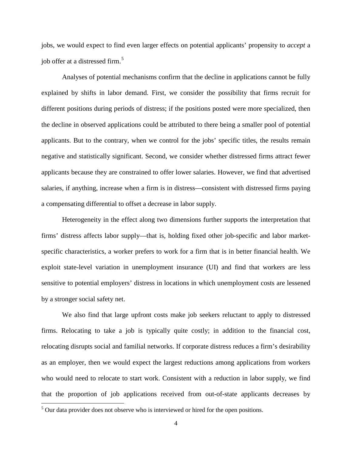jobs, we would expect to find even larger effects on potential applicants' propensity to *accept* a job offer at a distressed firm.<sup>5</sup>

Analyses of potential mechanisms confirm that the decline in applications cannot be fully explained by shifts in labor demand. First, we consider the possibility that firms recruit for different positions during periods of distress; if the positions posted were more specialized, then the decline in observed applications could be attributed to there being a smaller pool of potential applicants. But to the contrary, when we control for the jobs' specific titles, the results remain negative and statistically significant. Second, we consider whether distressed firms attract fewer applicants because they are constrained to offer lower salaries. However, we find that advertised salaries, if anything, increase when a firm is in distress—consistent with distressed firms paying a compensating differential to offset a decrease in labor supply.

Heterogeneity in the effect along two dimensions further supports the interpretation that firms' distress affects labor supply—that is, holding fixed other job-specific and labor marketspecific characteristics, a worker prefers to work for a firm that is in better financial health. We exploit state-level variation in unemployment insurance (UI) and find that workers are less sensitive to potential employers' distress in locations in which unemployment costs are lessened by a stronger social safety net.

We also find that large upfront costs make job seekers reluctant to apply to distressed firms. Relocating to take a job is typically quite costly; in addition to the financial cost, relocating disrupts social and familial networks. If corporate distress reduces a firm's desirability as an employer, then we would expect the largest reductions among applications from workers who would need to relocate to start work. Consistent with a reduction in labor supply, we find that the proportion of job applications received from out-of-state applicants decreases by

l

<sup>&</sup>lt;sup>5</sup> Our data provider does not observe who is interviewed or hired for the open positions.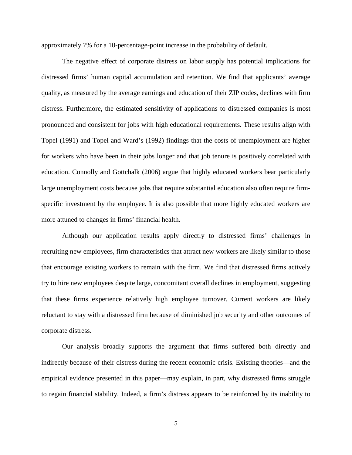approximately 7% for a 10-percentage-point increase in the probability of default.

The negative effect of corporate distress on labor supply has potential implications for distressed firms' human capital accumulation and retention. We find that applicants' average quality, as measured by the average earnings and education of their ZIP codes, declines with firm distress. Furthermore, the estimated sensitivity of applications to distressed companies is most pronounced and consistent for jobs with high educational requirements. These results align with Topel (1991) and Topel and Ward's (1992) findings that the costs of unemployment are higher for workers who have been in their jobs longer and that job tenure is positively correlated with education. Connolly and Gottchalk (2006) argue that highly educated workers bear particularly large unemployment costs because jobs that require substantial education also often require firmspecific investment by the employee. It is also possible that more highly educated workers are more attuned to changes in firms' financial health.

Although our application results apply directly to distressed firms' challenges in recruiting new employees, firm characteristics that attract new workers are likely similar to those that encourage existing workers to remain with the firm. We find that distressed firms actively try to hire new employees despite large, concomitant overall declines in employment, suggesting that these firms experience relatively high employee turnover. Current workers are likely reluctant to stay with a distressed firm because of diminished job security and other outcomes of corporate distress.

Our analysis broadly supports the argument that firms suffered both directly and indirectly because of their distress during the recent economic crisis. Existing theories—and the empirical evidence presented in this paper—may explain, in part, why distressed firms struggle to regain financial stability. Indeed, a firm's distress appears to be reinforced by its inability to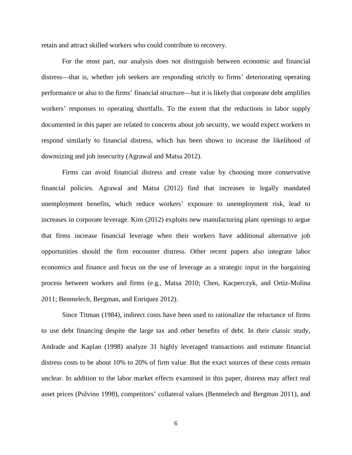retain and attract skilled workers who could contribute to recovery.

For the most part, our analysis does not distinguish between economic and financial distress—that is, whether job seekers are responding strictly to firms' deteriorating operating performance or also to the firms' financial structure—but it is likely that corporate debt amplifies workers' responses to operating shortfalls. To the extent that the reductions in labor supply documented in this paper are related to concerns about job security, we would expect workers to respond similarly to financial distress, which has been shown to increase the likelihood of downsizing and job insecurity (Agrawal and Matsa 2012).

Firms can avoid financial distress and create value by choosing more conservative financial policies. Agrawal and Matsa (2012) find that increases in legally mandated unemployment benefits, which reduce workers' exposure to unemployment risk, lead to increases in corporate leverage. Kim (2012) exploits new manufacturing plant openings to argue that firms increase financial leverage when their workers have additional alternative job opportunities should the firm encounter distress. Other recent papers also integrate labor economics and finance and focus on the use of leverage as a strategic input in the bargaining process between workers and firms (e.g., Matsa 2010; Chen, Kacperczyk, and Ortiz-Molina 2011; Benmelech, Bergman, and Enriquez 2012).

Since Titman (1984), indirect costs have been used to rationalize the reluctance of firms to use debt financing despite the large tax and other benefits of debt. In their classic study, Andrade and Kaplan (1998) analyze 31 highly leveraged transactions and estimate financial distress costs to be about 10% to 20% of firm value. But the exact sources of these costs remain unclear. In addition to the labor market effects examined in this paper, distress may affect real asset prices (Pulvino 1998), competitors' collateral values (Benmelech and Bergman 2011), and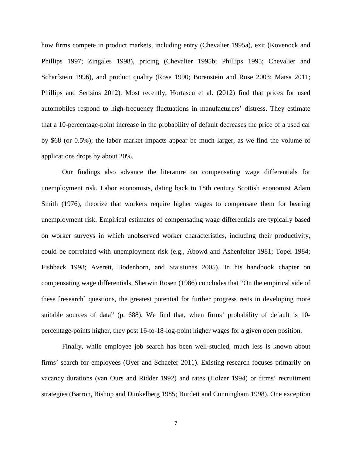how firms compete in product markets, including entry (Chevalier 1995a), exit (Kovenock and Phillips 1997; Zingales 1998), pricing (Chevalier 1995b; Phillips 1995; Chevalier and Scharfstein 1996), and product quality (Rose 1990; Borenstein and Rose 2003; Matsa 2011; Phillips and Sertsios 2012). Most recently, Hortascu et al. (2012) find that prices for used automobiles respond to high-frequency fluctuations in manufacturers' distress. They estimate that a 10-percentage-point increase in the probability of default decreases the price of a used car by \$68 (or 0.5%); the labor market impacts appear be much larger, as we find the volume of applications drops by about 20%.

Our findings also advance the literature on compensating wage differentials for unemployment risk. Labor economists, dating back to 18th century Scottish economist Adam Smith (1976), theorize that workers require higher wages to compensate them for bearing unemployment risk. Empirical estimates of compensating wage differentials are typically based on worker surveys in which unobserved worker characteristics, including their productivity, could be correlated with unemployment risk (e.g., Abowd and Ashenfelter 1981; Topel 1984; Fishback 1998; Averett, Bodenhorn, and Staisiunas 2005). In his handbook chapter on compensating wage differentials, Sherwin Rosen (1986) concludes that "On the empirical side of these [research] questions, the greatest potential for further progress rests in developing more suitable sources of data" (p. 688). We find that, when firms' probability of default is 10 percentage-points higher, they post 16-to-18-log-point higher wages for a given open position.

Finally, while employee job search has been well-studied, much less is known about firms' search for employees (Oyer and Schaefer 2011). Existing research focuses primarily on vacancy durations (van Ours and Ridder 1992) and rates (Holzer 1994) or firms' recruitment strategies (Barron, Bishop and Dunkelberg 1985; Burdett and Cunningham 1998). One exception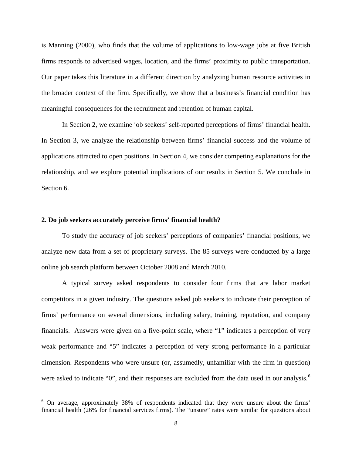is Manning (2000), who finds that the volume of applications to low-wage jobs at five British firms responds to advertised wages, location, and the firms' proximity to public transportation. Our paper takes this literature in a different direction by analyzing human resource activities in the broader context of the firm. Specifically, we show that a business's financial condition has meaningful consequences for the recruitment and retention of human capital.

In Section 2, we examine job seekers' self-reported perceptions of firms' financial health. In Section 3, we analyze the relationship between firms' financial success and the volume of applications attracted to open positions. In Section 4, we consider competing explanations for the relationship, and we explore potential implications of our results in Section 5. We conclude in Section 6.

# **2. Do job seekers accurately perceive firms' financial health?**

l

To study the accuracy of job seekers' perceptions of companies' financial positions, we analyze new data from a set of proprietary surveys. The 85 surveys were conducted by a large online job search platform between October 2008 and March 2010.

A typical survey asked respondents to consider four firms that are labor market competitors in a given industry. The questions asked job seekers to indicate their perception of firms' performance on several dimensions, including salary, training, reputation, and company financials. Answers were given on a five-point scale, where "1" indicates a perception of very weak performance and "5" indicates a perception of very strong performance in a particular dimension. Respondents who were unsure (or, assumedly, unfamiliar with the firm in question) were asked to indicate "0", and their responses are excluded from the data used in our analysis.<sup>6</sup>

<sup>&</sup>lt;sup>6</sup> On average, approximately 38% of respondents indicated that they were unsure about the firms' financial health (26% for financial services firms). The "unsure" rates were similar for questions about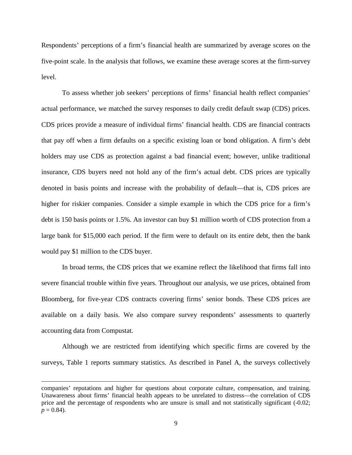Respondents' perceptions of a firm's financial health are summarized by average scores on the five-point scale. In the analysis that follows, we examine these average scores at the firm-survey level.

To assess whether job seekers' perceptions of firms' financial health reflect companies' actual performance, we matched the survey responses to daily credit default swap (CDS) prices. CDS prices provide a measure of individual firms' financial health. CDS are financial contracts that pay off when a firm defaults on a specific existing loan or bond obligation. A firm's debt holders may use CDS as protection against a bad financial event; however, unlike traditional insurance, CDS buyers need not hold any of the firm's actual debt. CDS prices are typically denoted in basis points and increase with the probability of default—that is, CDS prices are higher for riskier companies. Consider a simple example in which the CDS price for a firm's debt is 150 basis points or 1.5%. An investor can buy \$1 million worth of CDS protection from a large bank for \$15,000 each period. If the firm were to default on its entire debt, then the bank would pay \$1 million to the CDS buyer.

In broad terms, the CDS prices that we examine reflect the likelihood that firms fall into severe financial trouble within five years. Throughout our analysis, we use prices, obtained from Bloomberg, for five-year CDS contracts covering firms' senior bonds. These CDS prices are available on a daily basis. We also compare survey respondents' assessments to quarterly accounting data from Compustat.

Although we are restricted from identifying which specific firms are covered by the surveys, Table 1 reports summary statistics. As described in Panel A, the surveys collectively

 $\overline{\phantom{a}}$ 

companies' reputations and higher for questions about corporate culture, compensation, and training. Unawareness about firms' financial health appears to be unrelated to distress—the correlation of CDS price and the percentage of respondents who are unsure is small and not statistically significant (-0.02;  $p = 0.84$ .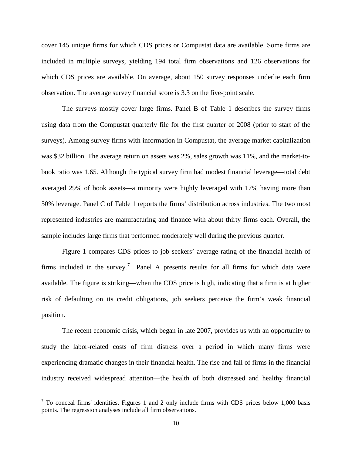cover 145 unique firms for which CDS prices or Compustat data are available. Some firms are included in multiple surveys, yielding 194 total firm observations and 126 observations for which CDS prices are available. On average, about 150 survey responses underlie each firm observation. The average survey financial score is 3.3 on the five-point scale.

The surveys mostly cover large firms. Panel B of Table 1 describes the survey firms using data from the Compustat quarterly file for the first quarter of 2008 (prior to start of the surveys). Among survey firms with information in Compustat, the average market capitalization was \$32 billion. The average return on assets was 2%, sales growth was 11%, and the market-tobook ratio was 1.65. Although the typical survey firm had modest financial leverage—total debt averaged 29% of book assets—a minority were highly leveraged with 17% having more than 50% leverage. Panel C of Table 1 reports the firms' distribution across industries. The two most represented industries are manufacturing and finance with about thirty firms each. Overall, the sample includes large firms that performed moderately well during the previous quarter.

Figure 1 compares CDS prices to job seekers' average rating of the financial health of firms included in the survey.<sup>7</sup> Panel A presents results for all firms for which data were available. The figure is striking—when the CDS price is high, indicating that a firm is at higher risk of defaulting on its credit obligations, job seekers perceive the firm's weak financial position.

The recent economic crisis, which began in late 2007, provides us with an opportunity to study the labor-related costs of firm distress over a period in which many firms were experiencing dramatic changes in their financial health. The rise and fall of firms in the financial industry received widespread attention—the health of both distressed and healthy financial

l

 $<sup>7</sup>$  To conceal firms' identities, Figures 1 and 2 only include firms with CDS prices below 1,000 basis</sup> points. The regression analyses include all firm observations.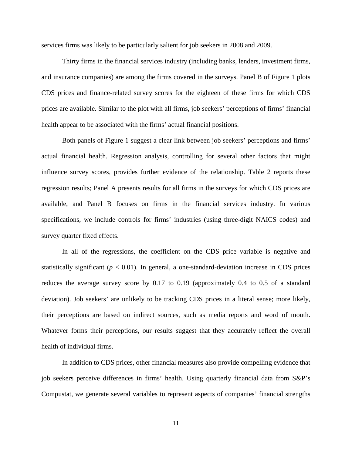services firms was likely to be particularly salient for job seekers in 2008 and 2009.

Thirty firms in the financial services industry (including banks, lenders, investment firms, and insurance companies) are among the firms covered in the surveys. Panel B of Figure 1 plots CDS prices and finance-related survey scores for the eighteen of these firms for which CDS prices are available. Similar to the plot with all firms, job seekers' perceptions of firms' financial health appear to be associated with the firms' actual financial positions.

Both panels of Figure 1 suggest a clear link between job seekers' perceptions and firms' actual financial health. Regression analysis, controlling for several other factors that might influence survey scores, provides further evidence of the relationship. Table 2 reports these regression results; Panel A presents results for all firms in the surveys for which CDS prices are available, and Panel B focuses on firms in the financial services industry. In various specifications, we include controls for firms' industries (using three-digit NAICS codes) and survey quarter fixed effects.

In all of the regressions, the coefficient on the CDS price variable is negative and statistically significant ( $p < 0.01$ ). In general, a one-standard-deviation increase in CDS prices reduces the average survey score by 0.17 to 0.19 (approximately 0.4 to 0.5 of a standard deviation). Job seekers' are unlikely to be tracking CDS prices in a literal sense; more likely, their perceptions are based on indirect sources, such as media reports and word of mouth. Whatever forms their perceptions, our results suggest that they accurately reflect the overall health of individual firms.

In addition to CDS prices, other financial measures also provide compelling evidence that job seekers perceive differences in firms' health. Using quarterly financial data from S&P's Compustat, we generate several variables to represent aspects of companies' financial strengths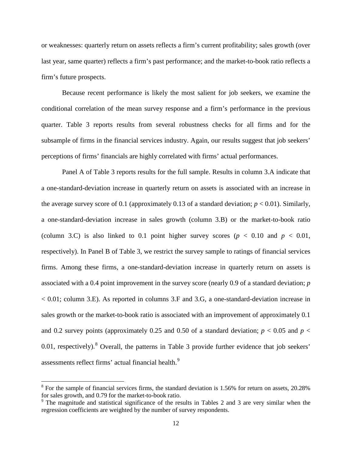or weaknesses: quarterly return on assets reflects a firm's current profitability; sales growth (over last year, same quarter) reflects a firm's past performance; and the market-to-book ratio reflects a firm's future prospects.

Because recent performance is likely the most salient for job seekers, we examine the conditional correlation of the mean survey response and a firm's performance in the previous quarter. Table 3 reports results from several robustness checks for all firms and for the subsample of firms in the financial services industry. Again, our results suggest that job seekers' perceptions of firms' financials are highly correlated with firms' actual performances.

Panel A of Table 3 reports results for the full sample. Results in column 3.A indicate that a one-standard-deviation increase in quarterly return on assets is associated with an increase in the average survey score of 0.1 (approximately 0.13 of a standard deviation;  $p < 0.01$ ). Similarly, a one-standard-deviation increase in sales growth (column 3.B) or the market-to-book ratio (column 3.C) is also linked to 0.1 point higher survey scores ( $p < 0.10$  and  $p < 0.01$ , respectively). In Panel B of Table 3, we restrict the survey sample to ratings of financial services firms. Among these firms, a one-standard-deviation increase in quarterly return on assets is associated with a 0.4 point improvement in the survey score (nearly 0.9 of a standard deviation; *p* < 0.01; column 3.E). As reported in columns 3.F and 3.G, a one-standard-deviation increase in sales growth or the market-to-book ratio is associated with an improvement of approximately 0.1 and 0.2 survey points (approximately 0.25 and 0.50 of a standard deviation;  $p < 0.05$  and  $p <$ 0.01, respectively).<sup>8</sup> Overall, the patterns in Table 3 provide further evidence that job seekers' assessments reflect firms' actual financial health.<sup>9</sup>

 $\overline{\phantom{a}}$ 

<sup>&</sup>lt;sup>8</sup> For the sample of financial services firms, the standard deviation is 1.56% for return on assets, 20.28% for sales growth, and 0.79 for the market-to-book ratio.

<sup>&</sup>lt;sup>9</sup> The magnitude and statistical significance of the results in Tables 2 and 3 are very similar when the regression coefficients are weighted by the number of survey respondents.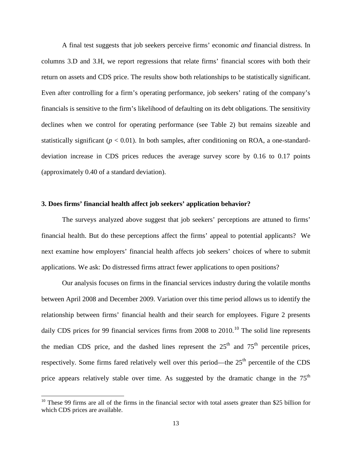A final test suggests that job seekers perceive firms' economic *and* financial distress. In columns 3.D and 3.H, we report regressions that relate firms' financial scores with both their return on assets and CDS price. The results show both relationships to be statistically significant. Even after controlling for a firm's operating performance, job seekers' rating of the company's financials is sensitive to the firm's likelihood of defaulting on its debt obligations. The sensitivity declines when we control for operating performance (see Table 2) but remains sizeable and statistically significant ( $p < 0.01$ ). In both samples, after conditioning on ROA, a one-standarddeviation increase in CDS prices reduces the average survey score by 0.16 to 0.17 points (approximately 0.40 of a standard deviation).

# **3. Does firms' financial health affect job seekers' application behavior?**

The surveys analyzed above suggest that job seekers' perceptions are attuned to firms' financial health. But do these perceptions affect the firms' appeal to potential applicants? We next examine how employers' financial health affects job seekers' choices of where to submit applications. We ask: Do distressed firms attract fewer applications to open positions?

Our analysis focuses on firms in the financial services industry during the volatile months between April 2008 and December 2009. Variation over this time period allows us to identify the relationship between firms' financial health and their search for employees. Figure 2 presents daily CDS prices for 99 financial services firms from  $2008$  to  $2010$ .<sup>10</sup> The solid line represents the median CDS price, and the dashed lines represent the  $25<sup>th</sup>$  and  $75<sup>th</sup>$  percentile prices, respectively. Some firms fared relatively well over this period—the  $25<sup>th</sup>$  percentile of the CDS price appears relatively stable over time. As suggested by the dramatic change in the 75<sup>th</sup>

l

 $10$  These 99 firms are all of the firms in the financial sector with total assets greater than \$25 billion for which CDS prices are available.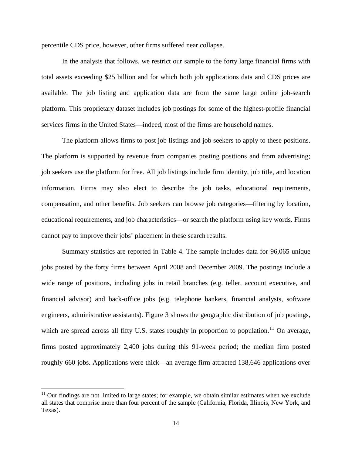percentile CDS price, however, other firms suffered near collapse.

In the analysis that follows, we restrict our sample to the forty large financial firms with total assets exceeding \$25 billion and for which both job applications data and CDS prices are available. The job listing and application data are from the same large online job-search platform. This proprietary dataset includes job postings for some of the highest-profile financial services firms in the United States—indeed, most of the firms are household names.

The platform allows firms to post job listings and job seekers to apply to these positions. The platform is supported by revenue from companies posting positions and from advertising; job seekers use the platform for free. All job listings include firm identity, job title, and location information. Firms may also elect to describe the job tasks, educational requirements, compensation, and other benefits. Job seekers can browse job categories—filtering by location, educational requirements, and job characteristics—or search the platform using key words. Firms cannot pay to improve their jobs' placement in these search results.

Summary statistics are reported in Table 4. The sample includes data for 96,065 unique jobs posted by the forty firms between April 2008 and December 2009. The postings include a wide range of positions, including jobs in retail branches (e.g. teller, account executive, and financial advisor) and back-office jobs (e.g. telephone bankers, financial analysts, software engineers, administrative assistants). Figure 3 shows the geographic distribution of job postings, which are spread across all fifty U.S. states roughly in proportion to population.<sup>11</sup> On average, firms posted approximately 2,400 jobs during this 91-week period; the median firm posted roughly 660 jobs. Applications were thick—an average firm attracted 138,646 applications over

 $\overline{\phantom{a}}$ 

 $11$  Our findings are not limited to large states; for example, we obtain similar estimates when we exclude all states that comprise more than four percent of the sample (California, Florida, Illinois, New York, and Texas).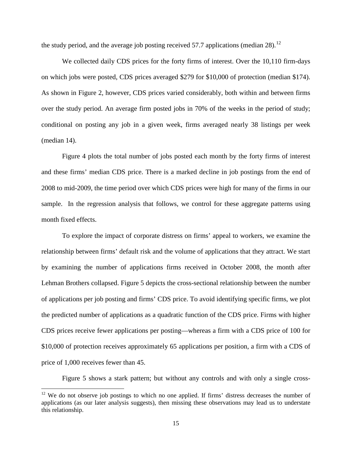the study period, and the average job posting received 57.7 applications (median 28).<sup>12</sup>

We collected daily CDS prices for the forty firms of interest. Over the 10,110 firm-days on which jobs were posted, CDS prices averaged \$279 for \$10,000 of protection (median \$174). As shown in Figure 2, however, CDS prices varied considerably, both within and between firms over the study period. An average firm posted jobs in 70% of the weeks in the period of study; conditional on posting any job in a given week, firms averaged nearly 38 listings per week (median 14).

Figure 4 plots the total number of jobs posted each month by the forty firms of interest and these firms' median CDS price. There is a marked decline in job postings from the end of 2008 to mid-2009, the time period over which CDS prices were high for many of the firms in our sample. In the regression analysis that follows, we control for these aggregate patterns using month fixed effects.

To explore the impact of corporate distress on firms' appeal to workers, we examine the relationship between firms' default risk and the volume of applications that they attract. We start by examining the number of applications firms received in October 2008, the month after Lehman Brothers collapsed. Figure 5 depicts the cross-sectional relationship between the number of applications per job posting and firms' CDS price. To avoid identifying specific firms, we plot the predicted number of applications as a quadratic function of the CDS price. Firms with higher CDS prices receive fewer applications per posting—whereas a firm with a CDS price of 100 for \$10,000 of protection receives approximately 65 applications per position, a firm with a CDS of price of 1,000 receives fewer than 45.

Figure 5 shows a stark pattern; but without any controls and with only a single cross-

 $\overline{\phantom{a}}$ 

 $12$  We do not observe job postings to which no one applied. If firms' distress decreases the number of applications (as our later analysis suggests), then missing these observations may lead us to understate this relationship.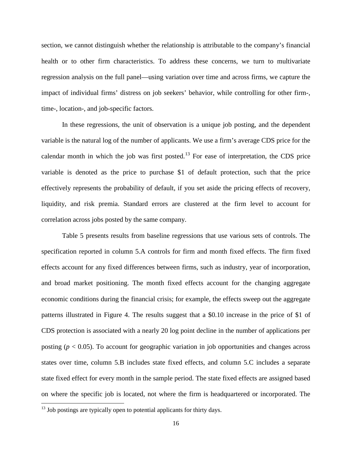section, we cannot distinguish whether the relationship is attributable to the company's financial health or to other firm characteristics. To address these concerns, we turn to multivariate regression analysis on the full panel—using variation over time and across firms, we capture the impact of individual firms' distress on job seekers' behavior, while controlling for other firm-, time-, location-, and job-specific factors.

In these regressions, the unit of observation is a unique job posting, and the dependent variable is the natural log of the number of applicants. We use a firm's average CDS price for the calendar month in which the job was first posted.<sup>13</sup> For ease of interpretation, the CDS price variable is denoted as the price to purchase \$1 of default protection, such that the price effectively represents the probability of default, if you set aside the pricing effects of recovery, liquidity, and risk premia. Standard errors are clustered at the firm level to account for correlation across jobs posted by the same company.

Table 5 presents results from baseline regressions that use various sets of controls. The specification reported in column 5.A controls for firm and month fixed effects. The firm fixed effects account for any fixed differences between firms, such as industry, year of incorporation, and broad market positioning. The month fixed effects account for the changing aggregate economic conditions during the financial crisis; for example, the effects sweep out the aggregate patterns illustrated in Figure 4. The results suggest that a \$0.10 increase in the price of \$1 of CDS protection is associated with a nearly 20 log point decline in the number of applications per posting  $(p < 0.05)$ . To account for geographic variation in job opportunities and changes across states over time, column 5.B includes state fixed effects, and column 5.C includes a separate state fixed effect for every month in the sample period. The state fixed effects are assigned based on where the specific job is located, not where the firm is headquartered or incorporated. The

l

 $13$  Job postings are typically open to potential applicants for thirty days.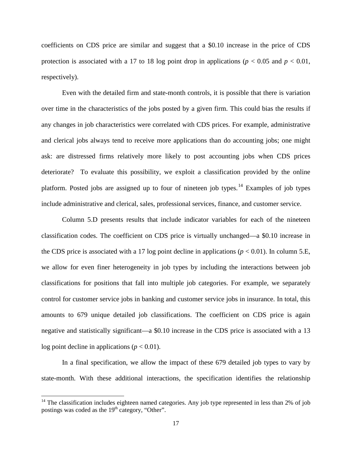coefficients on CDS price are similar and suggest that a \$0.10 increase in the price of CDS protection is associated with a 17 to 18 log point drop in applications ( $p < 0.05$  and  $p < 0.01$ , respectively).

Even with the detailed firm and state-month controls, it is possible that there is variation over time in the characteristics of the jobs posted by a given firm. This could bias the results if any changes in job characteristics were correlated with CDS prices. For example, administrative and clerical jobs always tend to receive more applications than do accounting jobs; one might ask: are distressed firms relatively more likely to post accounting jobs when CDS prices deteriorate? To evaluate this possibility, we exploit a classification provided by the online platform. Posted jobs are assigned up to four of nineteen job types.<sup>14</sup> Examples of job types include administrative and clerical, sales, professional services, finance, and customer service.

Column 5.D presents results that include indicator variables for each of the nineteen classification codes. The coefficient on CDS price is virtually unchanged—a \$0.10 increase in the CDS price is associated with a 17 log point decline in applications  $(p < 0.01)$ . In column 5.E, we allow for even finer heterogeneity in job types by including the interactions between job classifications for positions that fall into multiple job categories. For example, we separately control for customer service jobs in banking and customer service jobs in insurance. In total, this amounts to 679 unique detailed job classifications. The coefficient on CDS price is again negative and statistically significant—a \$0.10 increase in the CDS price is associated with a 13 log point decline in applications ( $p < 0.01$ ).

In a final specification, we allow the impact of these 679 detailed job types to vary by state-month. With these additional interactions, the specification identifies the relationship

l

 $14$  The classification includes eighteen named categories. Any job type represented in less than 2% of job postings was coded as the  $19<sup>th</sup>$  category, "Other".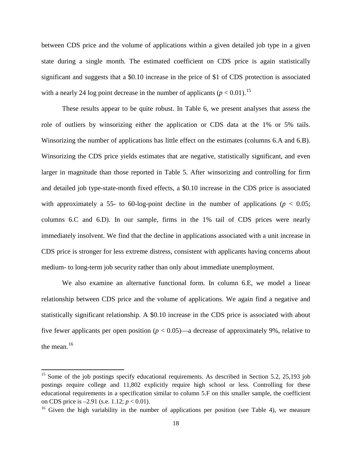between CDS price and the volume of applications within a given detailed job type in a given state during a single month. The estimated coefficient on CDS price is again statistically significant and suggests that a \$0.10 increase in the price of \$1 of CDS protection is associated with a nearly 24 log point decrease in the number of applicants ( $p < 0.01$ ).<sup>15</sup>

These results appear to be quite robust. In Table 6, we present analyses that assess the role of outliers by winsorizing either the application or CDS data at the 1% or 5% tails. Winsorizing the number of applications has little effect on the estimates (columns 6.A and 6.B). Winsorizing the CDS price yields estimates that are negative, statistically significant, and even larger in magnitude than those reported in Table 5. After winsorizing and controlling for firm and detailed job type-state-month fixed effects, a \$0.10 increase in the CDS price is associated with approximately a 55- to 60-log-point decline in the number of applications ( $p < 0.05$ ; columns 6.C and 6.D). In our sample, firms in the 1% tail of CDS prices were nearly immediately insolvent. We find that the decline in applications associated with a unit increase in CDS price is stronger for less extreme distress, consistent with applicants having concerns about medium- to long-term job security rather than only about immediate unemployment.

We also examine an alternative functional form. In column 6.E, we model a linear relationship between CDS price and the volume of applications. We again find a negative and statistically significant relationship. A \$0.10 increase in the CDS price is associated with about five fewer applicants per open position ( $p < 0.05$ )—a decrease of approximately 9%, relative to the mean.<sup>16</sup>

 $\overline{\phantom{a}}$ 

<sup>&</sup>lt;sup>15</sup> Some of the job postings specify educational requirements. As described in Section 5.2, 25,193 job postings require college and 11,802 explicitly require high school or less. Controlling for these educational requirements in a specification similar to column 5.F on this smaller sample, the coefficient on CDS price is –2.91 (s.e. 1.12; *p* < 0.01).

<sup>&</sup>lt;sup>16</sup> Given the high variability in the number of applications per position (see Table 4), we measure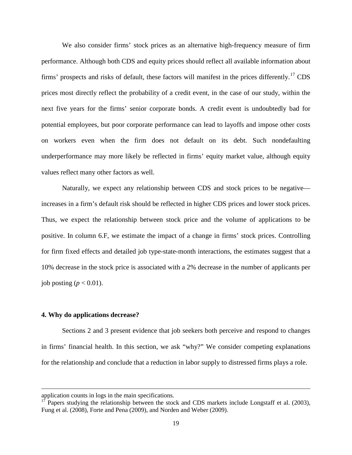We also consider firms' stock prices as an alternative high-frequency measure of firm performance. Although both CDS and equity prices should reflect all available information about firms' prospects and risks of default, these factors will manifest in the prices differently.<sup>17</sup> CDS prices most directly reflect the probability of a credit event, in the case of our study, within the next five years for the firms' senior corporate bonds. A credit event is undoubtedly bad for potential employees, but poor corporate performance can lead to layoffs and impose other costs on workers even when the firm does not default on its debt. Such nondefaulting underperformance may more likely be reflected in firms' equity market value, although equity values reflect many other factors as well.

Naturally, we expect any relationship between CDS and stock prices to be negative increases in a firm's default risk should be reflected in higher CDS prices and lower stock prices. Thus, we expect the relationship between stock price and the volume of applications to be positive. In column 6.F, we estimate the impact of a change in firms' stock prices. Controlling for firm fixed effects and detailed job type-state-month interactions, the estimates suggest that a 10% decrease in the stock price is associated with a 2% decrease in the number of applicants per job posting ( $p < 0.01$ ).

## **4. Why do applications decrease?**

 $\overline{\phantom{a}}$ 

Sections 2 and 3 present evidence that job seekers both perceive and respond to changes in firms' financial health. In this section, we ask "why?" We consider competing explanations for the relationship and conclude that a reduction in labor supply to distressed firms plays a role.

application counts in logs in the main specifications.

Papers studying the relationship between the stock and CDS markets include Longstaff et al. (2003), Fung et al. (2008), Forte and Pena (2009), and Norden and Weber (2009).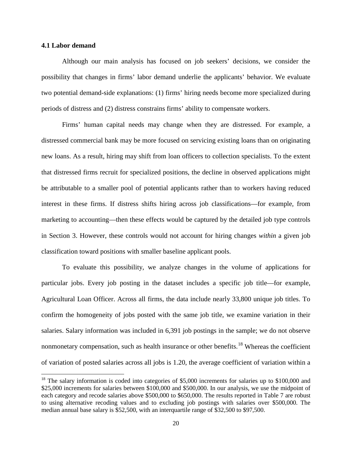# **4.1 Labor demand**

l

Although our main analysis has focused on job seekers' decisions, we consider the possibility that changes in firms' labor demand underlie the applicants' behavior. We evaluate two potential demand-side explanations: (1) firms' hiring needs become more specialized during periods of distress and (2) distress constrains firms' ability to compensate workers.

Firms' human capital needs may change when they are distressed. For example, a distressed commercial bank may be more focused on servicing existing loans than on originating new loans. As a result, hiring may shift from loan officers to collection specialists. To the extent that distressed firms recruit for specialized positions, the decline in observed applications might be attributable to a smaller pool of potential applicants rather than to workers having reduced interest in these firms. If distress shifts hiring across job classifications—for example, from marketing to accounting—then these effects would be captured by the detailed job type controls in Section 3. However, these controls would not account for hiring changes *within* a given job classification toward positions with smaller baseline applicant pools.

To evaluate this possibility, we analyze changes in the volume of applications for particular jobs. Every job posting in the dataset includes a specific job title—for example, Agricultural Loan Officer. Across all firms, the data include nearly 33,800 unique job titles. To confirm the homogeneity of jobs posted with the same job title, we examine variation in their salaries. Salary information was included in 6,391 job postings in the sample; we do not observe nonmonetary compensation, such as health insurance or other benefits.<sup>18</sup> Whereas the coefficient of variation of posted salaries across all jobs is 1.20, the average coefficient of variation within a

 $18$  The salary information is coded into categories of \$5,000 increments for salaries up to \$100,000 and \$25,000 increments for salaries between \$100,000 and \$500,000. In our analysis, we use the midpoint of each category and recode salaries above \$500,000 to \$650,000. The results reported in Table 7 are robust to using alternative recoding values and to excluding job postings with salaries over \$500,000. The median annual base salary is \$52,500, with an interquartile range of \$32,500 to \$97,500.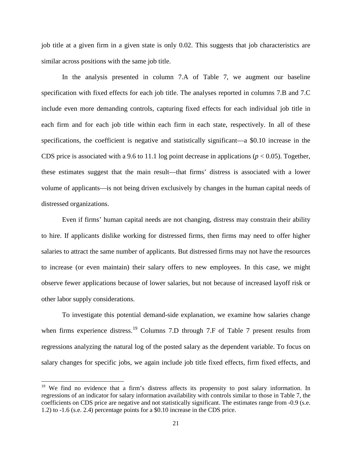job title at a given firm in a given state is only 0.02. This suggests that job characteristics are similar across positions with the same job title.

In the analysis presented in column 7.A of Table 7, we augment our baseline specification with fixed effects for each job title. The analyses reported in columns 7.B and 7.C include even more demanding controls, capturing fixed effects for each individual job title in each firm and for each job title within each firm in each state, respectively. In all of these specifications, the coefficient is negative and statistically significant—a \$0.10 increase in the CDS price is associated with a 9.6 to 11.1 log point decrease in applications ( $p < 0.05$ ). Together, these estimates suggest that the main result—that firms' distress is associated with a lower volume of applicants—is not being driven exclusively by changes in the human capital needs of distressed organizations.

Even if firms' human capital needs are not changing, distress may constrain their ability to hire. If applicants dislike working for distressed firms, then firms may need to offer higher salaries to attract the same number of applicants. But distressed firms may not have the resources to increase (or even maintain) their salary offers to new employees. In this case, we might observe fewer applications because of lower salaries, but not because of increased layoff risk or other labor supply considerations.

To investigate this potential demand-side explanation, we examine how salaries change when firms experience distress.<sup>19</sup> Columns 7.D through 7.F of Table 7 present results from regressions analyzing the natural log of the posted salary as the dependent variable. To focus on salary changes for specific jobs, we again include job title fixed effects, firm fixed effects, and

 $\overline{\phantom{a}}$ 

<sup>&</sup>lt;sup>19</sup> We find no evidence that a firm's distress affects its propensity to post salary information. In regressions of an indicator for salary information availability with controls similar to those in Table 7, the coefficients on CDS price are negative and not statistically significant. The estimates range from -0.9 (s.e. 1.2) to -1.6 (s.e. 2.4) percentage points for a \$0.10 increase in the CDS price.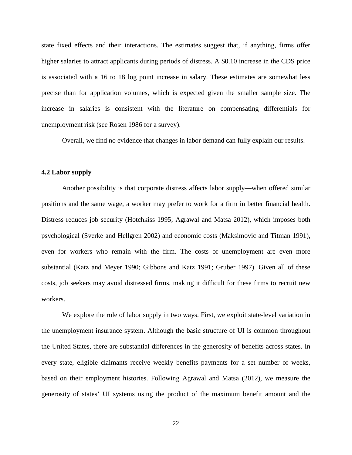state fixed effects and their interactions. The estimates suggest that, if anything, firms offer higher salaries to attract applicants during periods of distress. A \$0.10 increase in the CDS price is associated with a 16 to 18 log point increase in salary. These estimates are somewhat less precise than for application volumes, which is expected given the smaller sample size. The increase in salaries is consistent with the literature on compensating differentials for unemployment risk (see Rosen 1986 for a survey).

Overall, we find no evidence that changes in labor demand can fully explain our results.

# **4.2 Labor supply**

Another possibility is that corporate distress affects labor supply—when offered similar positions and the same wage, a worker may prefer to work for a firm in better financial health. Distress reduces job security (Hotchkiss 1995; Agrawal and Matsa 2012), which imposes both psychological (Sverke and Hellgren 2002) and economic costs (Maksimovic and Titman 1991), even for workers who remain with the firm. The costs of unemployment are even more substantial (Katz and Meyer 1990; Gibbons and Katz 1991; Gruber 1997). Given all of these costs, job seekers may avoid distressed firms, making it difficult for these firms to recruit new workers.

 We explore the role of labor supply in two ways. First, we exploit state-level variation in the unemployment insurance system. Although the basic structure of UI is common throughout the United States, there are substantial differences in the generosity of benefits across states. In every state, eligible claimants receive weekly benefits payments for a set number of weeks, based on their employment histories. Following Agrawal and Matsa (2012), we measure the generosity of states' UI systems using the product of the maximum benefit amount and the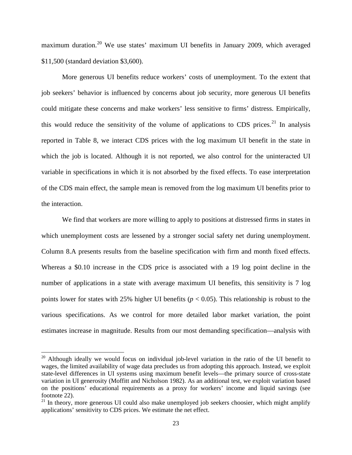maximum duration.<sup>20</sup> We use states' maximum UI benefits in January 2009, which averaged \$11,500 (standard deviation \$3,600).

More generous UI benefits reduce workers' costs of unemployment. To the extent that job seekers' behavior is influenced by concerns about job security, more generous UI benefits could mitigate these concerns and make workers' less sensitive to firms' distress. Empirically, this would reduce the sensitivity of the volume of applications to CDS prices.<sup>21</sup> In analysis reported in Table 8, we interact CDS prices with the log maximum UI benefit in the state in which the job is located. Although it is not reported, we also control for the uninteracted UI variable in specifications in which it is not absorbed by the fixed effects. To ease interpretation of the CDS main effect, the sample mean is removed from the log maximum UI benefits prior to the interaction.

We find that workers are more willing to apply to positions at distressed firms in states in which unemployment costs are lessened by a stronger social safety net during unemployment. Column 8.A presents results from the baseline specification with firm and month fixed effects. Whereas a \$0.10 increase in the CDS price is associated with a 19 log point decline in the number of applications in a state with average maximum UI benefits, this sensitivity is 7 log points lower for states with 25% higher UI benefits (*p* < 0.05). This relationship is robust to the various specifications. As we control for more detailed labor market variation, the point estimates increase in magnitude. Results from our most demanding specification—analysis with

l

 $20$  Although ideally we would focus on individual job-level variation in the ratio of the UI benefit to wages, the limited availability of wage data precludes us from adopting this approach. Instead, we exploit state-level differences in UI systems using maximum benefit levels—the primary source of cross-state variation in UI generosity (Moffitt and Nicholson 1982). As an additional test, we exploit variation based on the positions' educational requirements as a proxy for workers' income and liquid savings (see footnote 22).

 $21$  In theory, more generous UI could also make unemployed job seekers choosier, which might amplify applications' sensitivity to CDS prices. We estimate the net effect.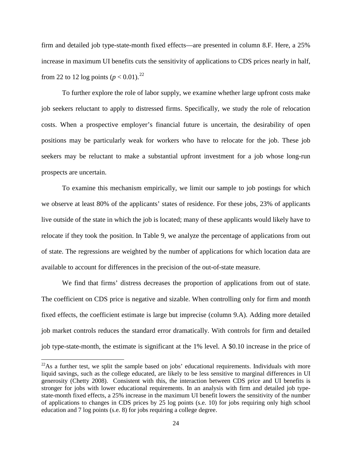firm and detailed job type-state-month fixed effects—are presented in column 8.F. Here, a 25% increase in maximum UI benefits cuts the sensitivity of applications to CDS prices nearly in half, from 22 to 12 log points  $(p < 0.01)$ .<sup>22</sup>

To further explore the role of labor supply, we examine whether large upfront costs make job seekers reluctant to apply to distressed firms. Specifically, we study the role of relocation costs. When a prospective employer's financial future is uncertain, the desirability of open positions may be particularly weak for workers who have to relocate for the job. These job seekers may be reluctant to make a substantial upfront investment for a job whose long-run prospects are uncertain.

 To examine this mechanism empirically, we limit our sample to job postings for which we observe at least 80% of the applicants' states of residence. For these jobs, 23% of applicants live outside of the state in which the job is located; many of these applicants would likely have to relocate if they took the position. In Table 9, we analyze the percentage of applications from out of state. The regressions are weighted by the number of applications for which location data are available to account for differences in the precision of the out-of-state measure.

We find that firms' distress decreases the proportion of applications from out of state. The coefficient on CDS price is negative and sizable. When controlling only for firm and month fixed effects, the coefficient estimate is large but imprecise (column 9.A). Adding more detailed job market controls reduces the standard error dramatically. With controls for firm and detailed job type-state-month, the estimate is significant at the 1% level. A \$0.10 increase in the price of

 $\overline{\phantom{a}}$ 

 $22$ As a further test, we split the sample based on jobs' educational requirements. Individuals with more liquid savings, such as the college educated, are likely to be less sensitive to marginal differences in UI generosity (Chetty 2008). Consistent with this, the interaction between CDS price and UI benefits is stronger for jobs with lower educational requirements. In an analysis with firm and detailed job typestate-month fixed effects, a 25% increase in the maximum UI benefit lowers the sensitivity of the number of applications to changes in CDS prices by 25 log points (s.e. 10) for jobs requiring only high school education and 7 log points (s.e. 8) for jobs requiring a college degree.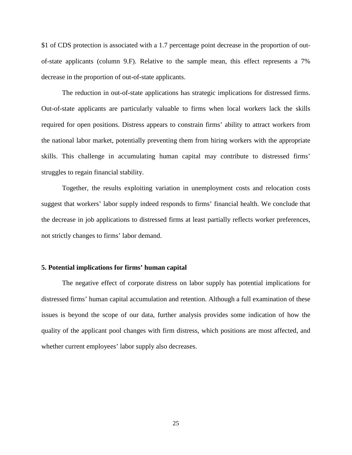\$1 of CDS protection is associated with a 1.7 percentage point decrease in the proportion of outof-state applicants (column 9.F). Relative to the sample mean, this effect represents a 7% decrease in the proportion of out-of-state applicants.

The reduction in out-of-state applications has strategic implications for distressed firms. Out-of-state applicants are particularly valuable to firms when local workers lack the skills required for open positions. Distress appears to constrain firms' ability to attract workers from the national labor market, potentially preventing them from hiring workers with the appropriate skills. This challenge in accumulating human capital may contribute to distressed firms' struggles to regain financial stability.

Together, the results exploiting variation in unemployment costs and relocation costs suggest that workers' labor supply indeed responds to firms' financial health. We conclude that the decrease in job applications to distressed firms at least partially reflects worker preferences, not strictly changes to firms' labor demand.

# **5. Potential implications for firms' human capital**

The negative effect of corporate distress on labor supply has potential implications for distressed firms' human capital accumulation and retention. Although a full examination of these issues is beyond the scope of our data, further analysis provides some indication of how the quality of the applicant pool changes with firm distress, which positions are most affected, and whether current employees' labor supply also decreases.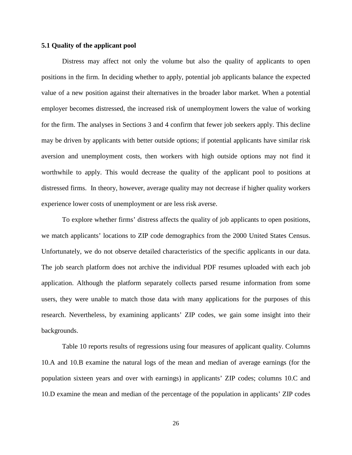# **5.1 Quality of the applicant pool**

Distress may affect not only the volume but also the quality of applicants to open positions in the firm. In deciding whether to apply, potential job applicants balance the expected value of a new position against their alternatives in the broader labor market. When a potential employer becomes distressed, the increased risk of unemployment lowers the value of working for the firm. The analyses in Sections 3 and 4 confirm that fewer job seekers apply. This decline may be driven by applicants with better outside options; if potential applicants have similar risk aversion and unemployment costs, then workers with high outside options may not find it worthwhile to apply. This would decrease the quality of the applicant pool to positions at distressed firms. In theory, however, average quality may not decrease if higher quality workers experience lower costs of unemployment or are less risk averse.

To explore whether firms' distress affects the quality of job applicants to open positions, we match applicants' locations to ZIP code demographics from the 2000 United States Census. Unfortunately, we do not observe detailed characteristics of the specific applicants in our data. The job search platform does not archive the individual PDF resumes uploaded with each job application. Although the platform separately collects parsed resume information from some users, they were unable to match those data with many applications for the purposes of this research. Nevertheless, by examining applicants' ZIP codes, we gain some insight into their backgrounds.

Table 10 reports results of regressions using four measures of applicant quality. Columns 10.A and 10.B examine the natural logs of the mean and median of average earnings (for the population sixteen years and over with earnings) in applicants' ZIP codes; columns 10.C and 10.D examine the mean and median of the percentage of the population in applicants' ZIP codes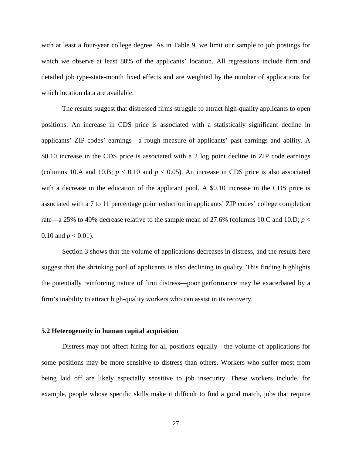with at least a four-year college degree. As in Table 9, we limit our sample to job postings for which we observe at least 80% of the applicants' location. All regressions include firm and detailed job type-state-month fixed effects and are weighted by the number of applications for which location data are available.

The results suggest that distressed firms struggle to attract high-quality applicants to open positions. An increase in CDS price is associated with a statistically significant decline in applicants' ZIP codes' earnings—a rough measure of applicants' past earnings and ability. A \$0.10 increase in the CDS price is associated with a 2 log point decline in ZIP code earnings (columns 10.A and 10.B;  $p < 0.10$  and  $p < 0.05$ ). An increase in CDS price is also associated with a decrease in the education of the applicant pool. A \$0.10 increase in the CDS price is associated with a 7 to 11 percentage point reduction in applicants' ZIP codes' college completion rate—a 25% to 40% decrease relative to the sample mean of 27.6% (columns 10.C and 10.D;  $p <$ 0.10 and  $p < 0.01$ ).

Section 3 shows that the volume of applications decreases in distress, and the results here suggest that the shrinking pool of applicants is also declining in quality. This finding highlights the potentially reinforcing nature of firm distress—poor performance may be exacerbated by a firm's inability to attract high-quality workers who can assist in its recovery.

# **5.2 Heterogeneity in human capital acquisition**

Distress may not affect hiring for all positions equally—the volume of applications for some positions may be more sensitive to distress than others. Workers who suffer most from being laid off are likely especially sensitive to job insecurity. These workers include, for example, people whose specific skills make it difficult to find a good match, jobs that require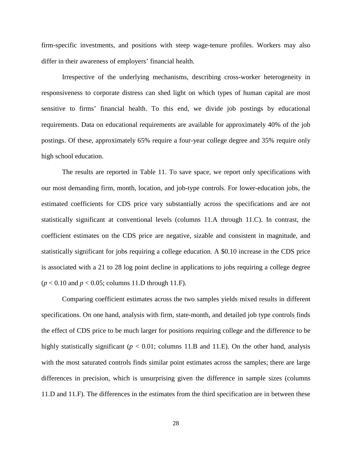firm-specific investments, and positions with steep wage-tenure profiles. Workers may also differ in their awareness of employers' financial health.

Irrespective of the underlying mechanisms, describing cross-worker heterogeneity in responsiveness to corporate distress can shed light on which types of human capital are most sensitive to firms' financial health. To this end, we divide job postings by educational requirements. Data on educational requirements are available for approximately 40% of the job postings. Of these, approximately 65% require a four-year college degree and 35% require only high school education.

The results are reported in Table 11. To save space, we report only specifications with our most demanding firm, month, location, and job-type controls. For lower-education jobs, the estimated coefficients for CDS price vary substantially across the specifications and are not statistically significant at conventional levels (columns 11.A through 11.C). In contrast, the coefficient estimates on the CDS price are negative, sizable and consistent in magnitude, and statistically significant for jobs requiring a college education. A \$0.10 increase in the CDS price is associated with a 21 to 28 log point decline in applications to jobs requiring a college degree (*p* < 0.10 and *p* < 0.05; columns 11.D through 11.F).

Comparing coefficient estimates across the two samples yields mixed results in different specifications. On one hand, analysis with firm, state-month, and detailed job type controls finds the effect of CDS price to be much larger for positions requiring college and the difference to be highly statistically significant ( $p < 0.01$ ; columns 11.B and 11.E). On the other hand, analysis with the most saturated controls finds similar point estimates across the samples; there are large differences in precision, which is unsurprising given the difference in sample sizes (columns 11.D and 11.F). The differences in the estimates from the third specification are in between these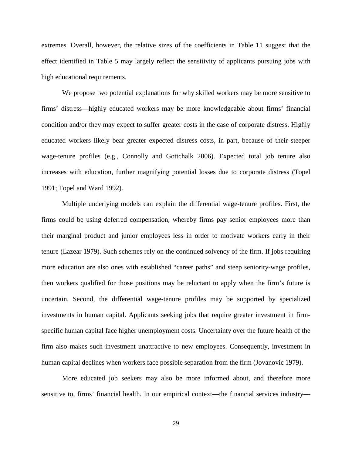extremes. Overall, however, the relative sizes of the coefficients in Table 11 suggest that the effect identified in Table 5 may largely reflect the sensitivity of applicants pursuing jobs with high educational requirements.

We propose two potential explanations for why skilled workers may be more sensitive to firms' distress—highly educated workers may be more knowledgeable about firms' financial condition and/or they may expect to suffer greater costs in the case of corporate distress. Highly educated workers likely bear greater expected distress costs, in part, because of their steeper wage-tenure profiles (e.g., Connolly and Gottchalk 2006). Expected total job tenure also increases with education, further magnifying potential losses due to corporate distress (Topel 1991; Topel and Ward 1992).

Multiple underlying models can explain the differential wage-tenure profiles. First, the firms could be using deferred compensation, whereby firms pay senior employees more than their marginal product and junior employees less in order to motivate workers early in their tenure (Lazear 1979). Such schemes rely on the continued solvency of the firm. If jobs requiring more education are also ones with established "career paths" and steep seniority-wage profiles, then workers qualified for those positions may be reluctant to apply when the firm's future is uncertain. Second, the differential wage-tenure profiles may be supported by specialized investments in human capital. Applicants seeking jobs that require greater investment in firmspecific human capital face higher unemployment costs. Uncertainty over the future health of the firm also makes such investment unattractive to new employees. Consequently, investment in human capital declines when workers face possible separation from the firm (Jovanovic 1979).

More educated job seekers may also be more informed about, and therefore more sensitive to, firms' financial health. In our empirical context—the financial services industry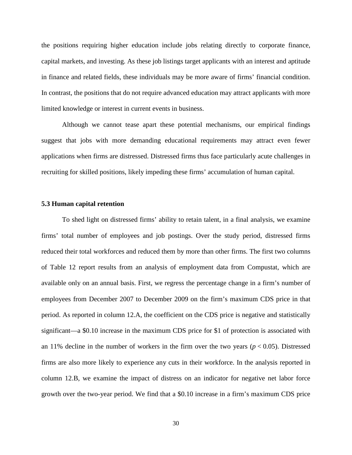the positions requiring higher education include jobs relating directly to corporate finance, capital markets, and investing. As these job listings target applicants with an interest and aptitude in finance and related fields, these individuals may be more aware of firms' financial condition. In contrast, the positions that do not require advanced education may attract applicants with more limited knowledge or interest in current events in business.

Although we cannot tease apart these potential mechanisms, our empirical findings suggest that jobs with more demanding educational requirements may attract even fewer applications when firms are distressed. Distressed firms thus face particularly acute challenges in recruiting for skilled positions, likely impeding these firms' accumulation of human capital.

# **5.3 Human capital retention**

To shed light on distressed firms' ability to retain talent, in a final analysis, we examine firms' total number of employees and job postings. Over the study period, distressed firms reduced their total workforces and reduced them by more than other firms. The first two columns of Table 12 report results from an analysis of employment data from Compustat, which are available only on an annual basis. First, we regress the percentage change in a firm's number of employees from December 2007 to December 2009 on the firm's maximum CDS price in that period. As reported in column 12.A, the coefficient on the CDS price is negative and statistically significant—a \$0.10 increase in the maximum CDS price for \$1 of protection is associated with an 11% decline in the number of workers in the firm over the two years  $(p < 0.05)$ . Distressed firms are also more likely to experience any cuts in their workforce. In the analysis reported in column 12.B, we examine the impact of distress on an indicator for negative net labor force growth over the two-year period. We find that a \$0.10 increase in a firm's maximum CDS price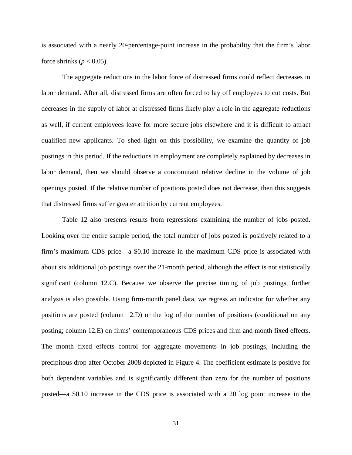is associated with a nearly 20-percentage-point increase in the probability that the firm's labor force shrinks ( $p < 0.05$ ).

The aggregate reductions in the labor force of distressed firms could reflect decreases in labor demand. After all, distressed firms are often forced to lay off employees to cut costs. But decreases in the supply of labor at distressed firms likely play a role in the aggregate reductions as well, if current employees leave for more secure jobs elsewhere and it is difficult to attract qualified new applicants. To shed light on this possibility, we examine the quantity of job postings in this period. If the reductions in employment are completely explained by decreases in labor demand, then we should observe a concomitant relative decline in the volume of job openings posted. If the relative number of positions posted does not decrease, then this suggests that distressed firms suffer greater attrition by current employees.

Table 12 also presents results from regressions examining the number of jobs posted. Looking over the entire sample period, the total number of jobs posted is positively related to a firm's maximum CDS price—a \$0.10 increase in the maximum CDS price is associated with about six additional job postings over the 21-month period, although the effect is not statistically significant (column 12.C). Because we observe the precise timing of job postings, further analysis is also possible. Using firm-month panel data, we regress an indicator for whether any positions are posted (column 12.D) or the log of the number of positions (conditional on any posting; column 12.E) on firms' contemporaneous CDS prices and firm and month fixed effects. The month fixed effects control for aggregate movements in job postings, including the precipitous drop after October 2008 depicted in Figure 4. The coefficient estimate is positive for both dependent variables and is significantly different than zero for the number of positions posted—a \$0.10 increase in the CDS price is associated with a 20 log point increase in the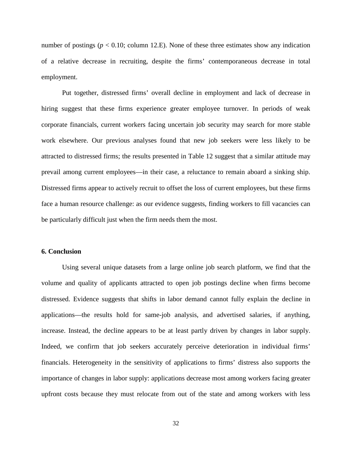number of postings ( $p < 0.10$ ; column 12.E). None of these three estimates show any indication of a relative decrease in recruiting, despite the firms' contemporaneous decrease in total employment.

Put together, distressed firms' overall decline in employment and lack of decrease in hiring suggest that these firms experience greater employee turnover. In periods of weak corporate financials, current workers facing uncertain job security may search for more stable work elsewhere. Our previous analyses found that new job seekers were less likely to be attracted to distressed firms; the results presented in Table 12 suggest that a similar attitude may prevail among current employees—in their case, a reluctance to remain aboard a sinking ship. Distressed firms appear to actively recruit to offset the loss of current employees, but these firms face a human resource challenge: as our evidence suggests, finding workers to fill vacancies can be particularly difficult just when the firm needs them the most.

# **6. Conclusion**

Using several unique datasets from a large online job search platform, we find that the volume and quality of applicants attracted to open job postings decline when firms become distressed. Evidence suggests that shifts in labor demand cannot fully explain the decline in applications—the results hold for same-job analysis, and advertised salaries, if anything, increase. Instead, the decline appears to be at least partly driven by changes in labor supply. Indeed, we confirm that job seekers accurately perceive deterioration in individual firms' financials. Heterogeneity in the sensitivity of applications to firms' distress also supports the importance of changes in labor supply: applications decrease most among workers facing greater upfront costs because they must relocate from out of the state and among workers with less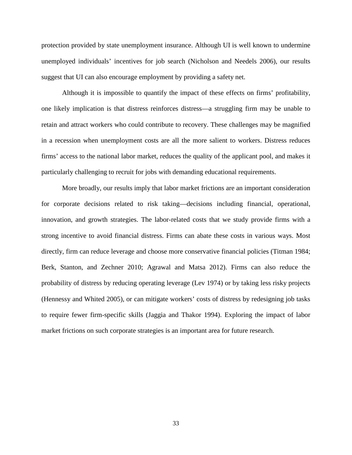protection provided by state unemployment insurance. Although UI is well known to undermine unemployed individuals' incentives for job search (Nicholson and Needels 2006), our results suggest that UI can also encourage employment by providing a safety net.

Although it is impossible to quantify the impact of these effects on firms' profitability, one likely implication is that distress reinforces distress—a struggling firm may be unable to retain and attract workers who could contribute to recovery. These challenges may be magnified in a recession when unemployment costs are all the more salient to workers. Distress reduces firms' access to the national labor market, reduces the quality of the applicant pool, and makes it particularly challenging to recruit for jobs with demanding educational requirements.

More broadly, our results imply that labor market frictions are an important consideration for corporate decisions related to risk taking—decisions including financial, operational, innovation, and growth strategies. The labor-related costs that we study provide firms with a strong incentive to avoid financial distress. Firms can abate these costs in various ways. Most directly, firm can reduce leverage and choose more conservative financial policies (Titman 1984; Berk, Stanton, and Zechner 2010; Agrawal and Matsa 2012). Firms can also reduce the probability of distress by reducing operating leverage (Lev 1974) or by taking less risky projects (Hennessy and Whited 2005), or can mitigate workers' costs of distress by redesigning job tasks to require fewer firm-specific skills (Jaggia and Thakor 1994). Exploring the impact of labor market frictions on such corporate strategies is an important area for future research.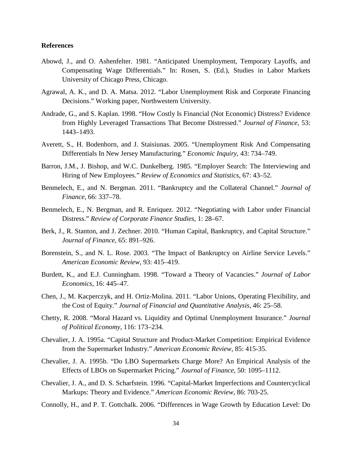# **References**

- Abowd, J., and O. Ashenfelter. 1981. "Anticipated Unemployment, Temporary Layoffs, and Compensating Wage Differentials." In: Rosen, S. (Ed.), Studies in Labor Markets University of Chicago Press, Chicago.
- Agrawal, A. K., and D. A. Matsa. 2012. "Labor Unemployment Risk and Corporate Financing Decisions." Working paper, Northwestern University.
- Andrade, G., and S. Kaplan. 1998. "How Costly Is Financial (Not Economic) Distress? Evidence from Highly Leveraged Transactions That Become Distressed." *Journal of Finance*, 53: 1443–1493.
- Averett, S., H. Bodenhorn, and J. Staisiunas. 2005. "Unemployment Risk And Compensating Differentials In New Jersey Manufacturing." *Economic Inquiry*, 43: 734–749.
- Barron, J.M., J. Bishop, and W.C. Dunkelberg. 1985. "Employer Search: The Interviewing and Hiring of New Employees." *Review of Economics and Statistics*, 67: 43–52.
- Benmelech, E., and N. Bergman. 2011. "Bankruptcy and the Collateral Channel." *Journal of Finance*, 66: 337–78.
- Benmelech, E., N. Bergman, and R. Enriquez. 2012. "Negotiating with Labor under Financial Distress." *Review of Corporate Finance Studies*, 1: 28–67.
- Berk, J., R. Stanton, and J. Zechner. 2010. "Human Capital, Bankruptcy, and Capital Structure." *Journal of Finance*, 65: 891–926.
- Borenstein, S., and N. L. Rose. 2003. "The Impact of Bankruptcy on Airline Service Levels." *American Economic Review*, 93: 415–419.
- Burdett, K., and E.J. Cunningham. 1998. "Toward a Theory of Vacancies." *Journal of Labor Economics*, 16: 445–47.
- Chen, J., M. Kacperczyk, and H. Ortiz-Molina. 2011. "Labor Unions, Operating Flexibility, and the Cost of Equity." *Journal of Financial and Quantitative Analysis*, 46: 25–58.
- Chetty, R. 2008. "Moral Hazard vs. Liquidity and Optimal Unemployment Insurance." *Journal of Political Economy*, 116: 173–234.
- Chevalier, J. A. 1995a. "Capital Structure and Product-Market Competition: Empirical Evidence from the Supermarket Industry." *American Economic Review*, 85: 415-35.
- Chevalier, J. A. 1995b. "Do LBO Supermarkets Charge More? An Empirical Analysis of the Effects of LBOs on Supermarket Pricing." *Journal of Finance*, 50: 1095–1112.
- Chevalier, J. A., and D. S. Scharfstein. 1996. "Capital-Market Imperfections and Countercyclical Markups: Theory and Evidence." *American Economic Review*, 86: 703-25.
- Connolly, H., and P. T. Gottchalk. 2006. "Differences in Wage Growth by Education Level: Do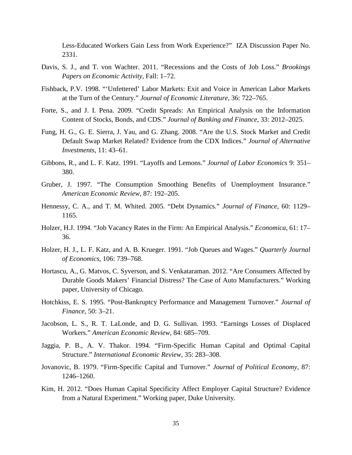Less-Educated Workers Gain Less from Work Experience?" IZA Discussion Paper No. 2331.

- Davis, S. J., and T. von Wachter. 2011. "Recessions and the Costs of Job Loss." *Brookings Papers on Economic Activity*, Fall: 1–72.
- Fishback, P.V. 1998. "'Unfettered' Labor Markets: Exit and Voice in American Labor Markets at the Turn of the Century." *Journal of Economic Literature*, 36: 722–765.
- Forte, S., and J. I. Pena. 2009. "Credit Spreads: An Empirical Analysis on the Information Content of Stocks, Bonds, and CDS." *Journal of Banking and Finance*, 33: 2012–2025.
- Fung, H. G., G. E. Sierra, J. Yau, and G. Zhang. 2008. "Are the U.S. Stock Market and Credit Default Swap Market Related? Evidence from the CDX Indices." *Journal of Alternative Investments*, 11: 43–61.
- Gibbons, R., and L. F. Katz. 1991. "Layoffs and Lemons." *Journal of Labor Economics* 9: 351– 380.
- Gruber, J. 1997. "The Consumption Smoothing Benefits of Unemployment Insurance." *American Economic Review*, 87: 192–205.
- Hennessy, C. A., and T. M. Whited. 2005. "Debt Dynamics." *Journal of Finance*, 60: 1129– 1165.
- Holzer, H.J. 1994. "Job Vacancy Rates in the Firm: An Empirical Analysis." *Economica*, 61: 17– 36.
- Holzer, H. J., L. F. Katz, and A. B. Krueger. 1991. "Job Queues and Wages." *Quarterly Journal of Economics*, 106: 739–768.
- Hortascu, A., G. Matvos, C. Syverson, and S. Venkataraman. 2012. "Are Consumers Affected by Durable Goods Makers' Financial Distress? The Case of Auto Manufacturers." Working paper, University of Chicago.
- Hotchkiss, E. S. 1995. "Post-Bankruptcy Performance and Management Turnover." *Journal of Finance*, 50: 3–21.
- Jacobson, L. S., R. T. LaLonde, and D. G. Sullivan. 1993. "Earnings Losses of Displaced Workers." *American Economic Review*, 84: 685–709.
- Jaggia, P. B., A. V. Thakor. 1994. "Firm-Specific Human Capital and Optimal Capital Structure." *International Economic Review*, 35: 283–308.
- Jovanovic, B. 1979. "Firm-Specific Capital and Turnover." *Journal of Political Economy*, 87: 1246–1260.
- Kim, H. 2012. "Does Human Capital Specificity Affect Employer Capital Structure? Evidence from a Natural Experiment." Working paper, Duke University.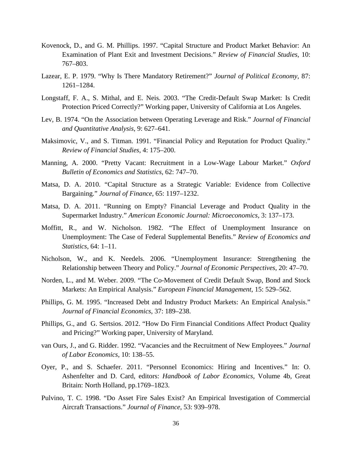- Kovenock, D., and G. M. Phillips. 1997. "Capital Structure and Product Market Behavior: An Examination of Plant Exit and Investment Decisions." *Review of Financial Studies*, 10: 767–803.
- Lazear, E. P. 1979. "Why Is There Mandatory Retirement?" *Journal of Political Economy*, 87: 1261–1284.
- Longstaff, F. A., S. Mithal, and E. Neis. 2003. "The Credit-Default Swap Market: Is Credit Protection Priced Correctly?" Working paper, University of California at Los Angeles.
- Lev, B. 1974. "On the Association between Operating Leverage and Risk." *Journal of Financial and Quantitative Analysis*, 9: 627–641.
- Maksimovic, V., and S. Titman. 1991. "Financial Policy and Reputation for Product Quality." *Review of Financial Studies*, 4: 175–200.
- Manning, A. 2000. "Pretty Vacant: Recruitment in a Low-Wage Labour Market." *Oxford Bulletin of Economics and Statistics*, 62: 747–70.
- Matsa, D. A. 2010. "Capital Structure as a Strategic Variable: Evidence from Collective Bargaining." *Journal of Finance*, 65: 1197–1232.
- Matsa, D. A. 2011. "Running on Empty? Financial Leverage and Product Quality in the Supermarket Industry." *American Economic Journal: Microeconomics*, 3: 137–173.
- Moffitt, R., and W. Nicholson. 1982. "The Effect of Unemployment Insurance on Unemployment: The Case of Federal Supplemental Benefits." *Review of Economics and Statistics,* 64: 1–11.
- Nicholson, W., and K. Needels. 2006. "Unemployment Insurance: Strengthening the Relationship between Theory and Policy." *Journal of Economic Perspectives*, 20: 47–70.
- Norden, L., and M. Weber. 2009. "The Co-Movement of Credit Default Swap, Bond and Stock Markets: An Empirical Analysis." *European Financial Management*, 15: 529–562.
- Phillips, G. M. 1995. "Increased Debt and Industry Product Markets: An Empirical Analysis." *Journal of Financial Economics*, 37: 189–238.
- Phillips, G., and G. Sertsios. 2012. "How Do Firm Financial Conditions Affect Product Quality and Pricing?" Working paper, University of Maryland.
- van Ours, J., and G. Ridder. 1992. "Vacancies and the Recruitment of New Employees." *Journal of Labor Economics*, 10: 138–55.
- Oyer, P., and S. Schaefer. 2011. "Personnel Economics: Hiring and Incentives." In: O. Ashenfelter and D. Card, editors: *Handbook of Labor Economics*, Volume 4b, Great Britain: North Holland, pp.1769–1823.
- Pulvino, T. C. 1998. "Do Asset Fire Sales Exist? An Empirical Investigation of Commercial Aircraft Transactions." *Journal of Finance*, 53: 939–978.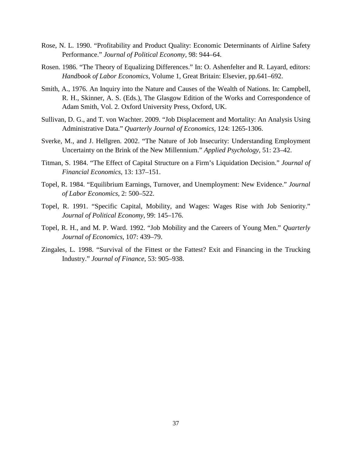- Rose, N. L. 1990. "Profitability and Product Quality: Economic Determinants of Airline Safety Performance." *Journal of Political Economy*, 98: 944–64.
- Rosen. 1986. "The Theory of Equalizing Differences." In: O. Ashenfelter and R. Layard, editors: *Handbook of Labor Economics*, Volume 1, Great Britain: Elsevier, pp.641–692.
- Smith, A., 1976. An Inquiry into the Nature and Causes of the Wealth of Nations. In: Campbell, R. H., Skinner, A. S. (Eds.), The Glasgow Edition of the Works and Correspondence of Adam Smith, Vol. 2. Oxford University Press, Oxford, UK.
- Sullivan, D. G., and T. von Wachter. 2009. "Job Displacement and Mortality: An Analysis Using Administrative Data." *Quarterly Journal of Economics*, 124: 1265-1306.
- Sverke, M., and J. Hellgren. 2002. "The Nature of Job Insecurity: Understanding Employment Uncertainty on the Brink of the New Millennium." *Applied Psychology*, 51: 23–42.
- Titman, S. 1984. "The Effect of Capital Structure on a Firm's Liquidation Decision." *Journal of Financial Economics*, 13: 137–151.
- Topel, R. 1984. "Equilibrium Earnings, Turnover, and Unemployment: New Evidence." *Journal of Labor Economics*, 2: 500–522.
- Topel, R. 1991. "Specific Capital, Mobility, and Wages: Wages Rise with Job Seniority." *Journal of Political Economy*, 99: 145–176.
- Topel, R. H., and M. P. Ward. 1992. "Job Mobility and the Careers of Young Men." *Quarterly Journal of Economics*, 107: 439–79.
- Zingales, L. 1998. "Survival of the Fittest or the Fattest? Exit and Financing in the Trucking Industry." *Journal of Finance*, 53: 905–938.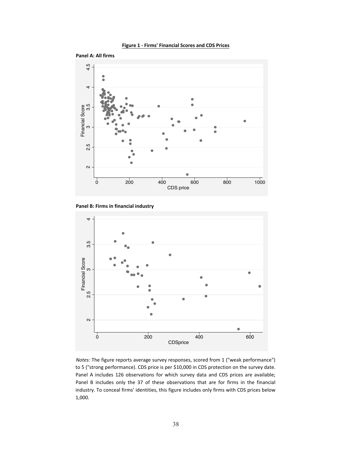





Panel B: Firms in financial industry



Notes: The figure reports average survey responses, scored from 1 ("weak performance") to 5 ("strong performance). CDS price is per \$10,000 in CDS protection on the survey date. Panel A includes 126 observations for which survey data and CDS prices are available; Panel B includes only the 37 of these observations that are for firms in the financial industry. To conceal firms' identities, this figure includes only firms with CDS prices below 1,000.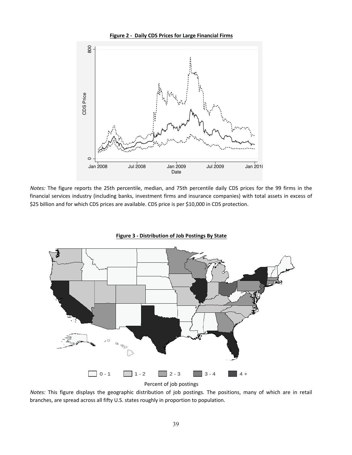



Notes: The figure reports the 25th percentile, median, and 75th percentile daily CDS prices for the 99 firms in the financial services industry (including banks, investment firms and insurance companies) with total assets in excess of \$25 billion and for which CDS prices are available. CDS price is per \$10,000 in CDS protection.



**Figure 3 - Distribution of Job Postings By State** 

Notes: This figure displays the geographic distribution of job postings. The positions, many of which are in retail branches, are spread across all fifty U.S. states roughly in proportion to population.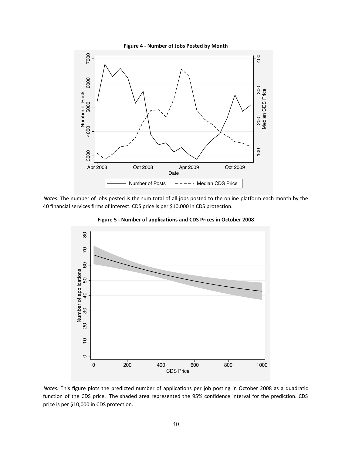

Notes: The number of jobs posted is the sum total of all jobs posted to the online platform each month by the 40 financial services firms of interest. CDS price is per \$10,000 in CDS protection.



Figure 5 - Number of applications and CDS Prices in October 2008

Notes: This figure plots the predicted number of applications per job posting in October 2008 as a quadratic function of the CDS price. The shaded area represented the 95% confidence interval for the prediction. CDS price is per \$10,000 in CDS protection.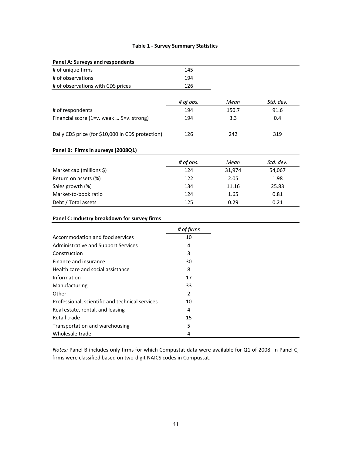### **Table 1 - Survey Summary Statistics**

| <b>Panel A: Surveys and respondents</b>          |                |        |           |
|--------------------------------------------------|----------------|--------|-----------|
| # of unique firms                                | 145            |        |           |
| # of observations                                | 194            |        |           |
| # of observations with CDS prices                | 126            |        |           |
|                                                  |                |        |           |
|                                                  | # of obs.      | Mean   | Std. dev. |
| # of respondents                                 | 194            | 150.7  | 91.6      |
| Financial score (1=v. weak  5=v. strong)         | 194            | 3.3    | 0.4       |
|                                                  |                |        |           |
| Daily CDS price (for \$10,000 in CDS protection) | 126            | 242    | 319       |
|                                                  |                |        |           |
| Panel B: Firms in surveys (2008Q1)               |                |        |           |
|                                                  | # of obs.      | Mean   | Std. dev. |
| Market cap (millions \$)                         | 124            | 31,974 | 54,067    |
| Return on assets (%)                             | 122            | 2.05   | 1.98      |
| Sales growth (%)                                 | 134            | 11.16  | 25.83     |
| Market-to-book ratio                             | 124            | 1.65   | 0.81      |
| Debt / Total assets                              | 125            | 0.29   | 0.21      |
|                                                  |                |        |           |
| Panel C: Industry breakdown for survey firms     |                |        |           |
|                                                  | # of firms     |        |           |
| Accommodation and food services                  | 10             |        |           |
| Administrative and Support Services              | 4              |        |           |
| Construction                                     | 3              |        |           |
| Finance and insurance                            | 30             |        |           |
| Health care and social assistance                | 8              |        |           |
| Information                                      | 17             |        |           |
| Manufacturing                                    | 33             |        |           |
| Other                                            | $\overline{2}$ |        |           |
| Professional, scientific and technical services  | 10             |        |           |
| Real estate, rental, and leasing                 | 4              |        |           |
| Retail trade                                     | 15             |        |           |
| Transportation and warehousing                   | 5              |        |           |
| Wholesale trade                                  | 4              |        |           |

Notes: Panel B includes only firms for which Compustat data were available for Q1 of 2008. In Panel C, firms were classified based on two-digit NAICS codes in Compustat.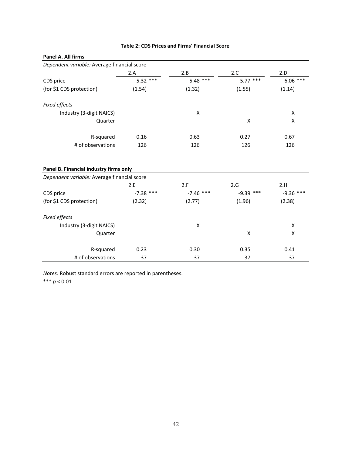| Panel A. All firms                                                                    |             |             |             |             |
|---------------------------------------------------------------------------------------|-------------|-------------|-------------|-------------|
| Dependent variable: Average financial score                                           |             |             |             |             |
|                                                                                       | 2.A         | 2.B         | 2.C         | 2.D         |
| CDS price                                                                             | $-5.32$ *** | $-5.48$ *** | $-5.77$ *** | $-6.06$ *** |
| (for \$1 CDS protection)                                                              | (1.54)      | (1.32)      | (1.55)      | (1.14)      |
| <b>Fixed effects</b>                                                                  |             |             |             |             |
| Industry (3-digit NAICS)                                                              |             | X           |             | X           |
| Quarter                                                                               |             |             | X           | X           |
| R-squared                                                                             | 0.16        | 0.63        | 0.27        | 0.67        |
| # of observations<br>126                                                              |             | 126         | 126         | 126         |
| Panel B. Financial industry firms only<br>Dependent variable: Average financial score |             |             |             |             |
|                                                                                       | 2.E         | 2.F         | 2.G         | 2.H         |
| CDS price                                                                             | $-7.38$ *** | $-7.46$ *** | $-9.39$ *** | $-9.36$ *** |
| (for \$1 CDS protection)                                                              | (2.32)      | (2.77)      | (1.96)      | (2.38)      |
| Fixed effects                                                                         |             |             |             |             |
| Industry (3-digit NAICS)                                                              |             | X           |             | Χ           |
| Quarter                                                                               |             |             | X           | X           |
| R-squared                                                                             | 0.23        | 0.30        | 0.35        | 0.41        |
| # of observations                                                                     | 37          | 37          | 37          | 37          |

#### Table 2: CDS Prices and Firms' Financial Score

Notes: Robust standard errors are reported in parentheses.

\*\*\* $p < 0.01$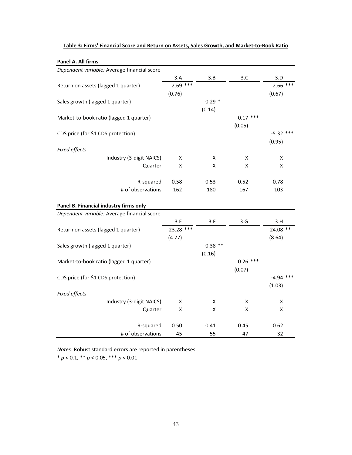| Panel A. All firms                          |                    |                    |            |             |
|---------------------------------------------|--------------------|--------------------|------------|-------------|
| Dependent variable: Average financial score |                    |                    |            |             |
|                                             | 3.A                | 3.B                | 3.C        | 3.D         |
| Return on assets (lagged 1 quarter)         | $2.69$ ***         |                    |            | 2.66<br>*** |
|                                             | (0.76)             |                    |            | (0.67)      |
| Sales growth (lagged 1 quarter)             |                    | $0.29*$            |            |             |
|                                             |                    | (0.14)             |            |             |
| Market-to-book ratio (lagged 1 quarter)     |                    |                    | $0.17***$  |             |
|                                             |                    |                    | (0.05)     |             |
| CDS price (for \$1 CDS protection)          |                    |                    |            | $-5.32$ *** |
|                                             |                    |                    |            | (0.95)      |
| Fixed effects                               |                    |                    |            |             |
| Industry (3-digit NAICS)                    | Χ                  | X                  | X          | X           |
| Quarter                                     | X                  | X                  | x          | X           |
|                                             |                    |                    |            |             |
| R-squared                                   | 0.58               | 0.53               | 0.52       | 0.78        |
| # of observations                           | 162                | 180                | 167        | 103         |
|                                             |                    |                    |            |             |
| Panel B. Financial industry firms only      |                    |                    |            |             |
| Dependent variable: Average financial score |                    |                    |            |             |
|                                             | 3.E                | 3.F                | 3.G        | 3.H         |
| Return on assets (lagged 1 quarter)         | 23.28 ***          |                    |            | 24.08 **    |
|                                             | (4.77)             |                    |            | (8.64)      |
| Sales growth (lagged 1 quarter)             |                    | $0.38$ **          |            |             |
|                                             |                    | (0.16)             |            |             |
| Market-to-book ratio (lagged 1 quarter)     |                    |                    | $0.26$ *** |             |
|                                             |                    |                    | (0.07)     |             |
| CDS price (for \$1 CDS protection)          |                    |                    |            | $-4.94$ *** |
|                                             |                    |                    |            | (1.03)      |
| Fixed effects                               |                    |                    |            |             |
| Industry (3-digit NAICS)                    | x                  | X                  | X          | X           |
| Quarter                                     | $\pmb{\mathsf{X}}$ | $\pmb{\mathsf{X}}$ | Χ          | X           |
|                                             |                    |                    |            |             |
| R-squared                                   | 0.50               | 0.41               | 0.45       | 0.62        |
| # of observations                           | 45                 | 55                 | 47         | 32          |

#### Table 3: Firms' Financial Score and Return on Assets, Sales Growth, and Market-to-Book Ratio

*Notes:* Robust standard errors are reported in parentheses. \*  $p < 0.1$ , \*\*  $p < 0.05$ , \*\*\*  $p < 0.01$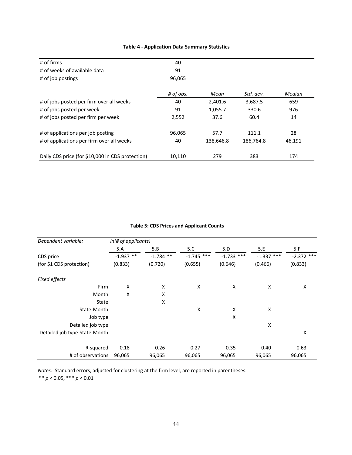| # of firms                                       | 40        |           |           |        |
|--------------------------------------------------|-----------|-----------|-----------|--------|
| # of weeks of available data                     | 91        |           |           |        |
| # of job postings                                | 96,065    |           |           |        |
|                                                  | # of obs. | Mean      | Std. dev. | Median |
| # of jobs posted per firm over all weeks         | 40        | 2,401.6   | 3,687.5   | 659    |
| # of jobs posted per week                        | 91        | 1,055.7   | 330.6     | 976    |
| # of jobs posted per firm per week               | 2,552     | 37.6      | 60.4      | 14     |
| # of applications per job posting                | 96,065    | 57.7      | 111.1     | 28     |
| # of applications per firm over all weeks        | 40        | 138,646.8 | 186,764.8 | 46,191 |
| Daily CDS price (for \$10,000 in CDS protection) | 10,110    | 279       | 383       | 174    |

# **Table 4 - Application Data Summary Statistics**

# **Table 5: CDS Prices and Applicant Counts**

| Dependent variable:           | In(# of applicants) |             |              |              |              |              |
|-------------------------------|---------------------|-------------|--------------|--------------|--------------|--------------|
|                               | 5.A                 | 5.B         | 5.C          | 5.D          | 5.E          | 5.F          |
| CDS price                     | $-1.937$ **         | $-1.784$ ** | $-1.745$ *** | $-1.733$ *** | $-1.337$ *** | $-2.372$ *** |
| (for \$1 CDS protection)      | (0.833)             | (0.720)     | (0.655)      | (0.646)      | (0.466)      | (0.833)      |
| Fixed effects                 |                     |             |              |              |              |              |
| Firm                          | X                   | X           | X            | X            | X            | Χ            |
| Month                         | X                   | X           |              |              |              |              |
| State                         |                     | X           |              |              |              |              |
| State-Month                   |                     |             | X            | X            | X            |              |
| Job type                      |                     |             |              | X            |              |              |
| Detailed job type             |                     |             |              |              | X            |              |
| Detailed job type-State-Month |                     |             |              |              |              | Χ            |
| R-squared                     | 0.18                | 0.26        | 0.27         | 0.35         | 0.40         | 0.63         |
| # of observations             | 96,065              | 96,065      | 96,065       | 96,065       | 96,065       | 96,065       |

Notes: Standard errors, adjusted for clustering at the firm level, are reported in parentheses.

 $^{\ast\ast}$   $p < 0.05,$   $^{\ast\ast\ast}$   $p < 0.01$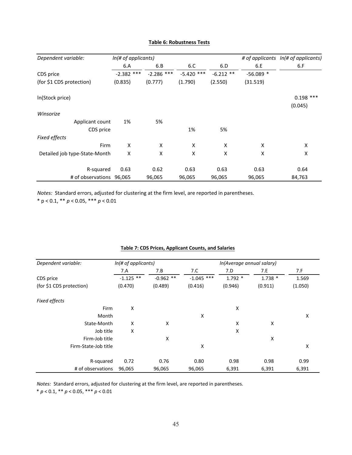| Dependent variable:           | In(# of applicants) |              |              |             |            |             |
|-------------------------------|---------------------|--------------|--------------|-------------|------------|-------------|
|                               | 6.A                 | 6.B          | 6.C          | 6.D         | 6.E        | 6.F         |
| CDS price                     | $-2.382$ ***        | $-2.286$ *** | $-5.420$ *** | $-6.212$ ** | $-56.089*$ |             |
| (for \$1 CDS protection)      | (0.835)             | (0.777)      | (1.790)      | (2.550)     | (31.519)   |             |
| In(Stock price)               |                     |              |              |             |            | $0.198$ *** |
|                               |                     |              |              |             |            | (0.045)     |
| Winsorize                     |                     |              |              |             |            |             |
| Applicant count               | 1%                  | 5%           |              |             |            |             |
| CDS price                     |                     |              | 1%           | 5%          |            |             |
| <b>Fixed effects</b>          |                     |              |              |             |            |             |
| Firm                          | X                   | X            | X            | X           | X          | X           |
| Detailed job type-State-Month | X                   | X            | X            | X           | X          | X           |
| R-squared                     | 0.63                | 0.62         | 0.63         | 0.63        | 0.63       | 0.64        |
| # of observations 96,065      |                     | 96,065       | 96,065       | 96,065      | 96,065     | 84,763      |

#### **Table 6: Robustness Tests**

Notes: Standard errors, adjusted for clustering at the firm level, are reported in parentheses.

\*  $p < 0.1$ , \*\*  $p < 0.05$ , \*\*\*  $p < 0.01$ 

| Dependent variable:      | In(# of applicants) |             | In(Average annual salary) |          |          |         |
|--------------------------|---------------------|-------------|---------------------------|----------|----------|---------|
|                          | 7.A                 | 7.B         | 7.C                       | 7.D      | 7.E      | 7.F     |
| CDS price                | $-1.125$ **         | $-0.962$ ** | $-1.045$ ***              | $1.792*$ | $1.738*$ | 1.569   |
| (for \$1 CDS protection) | (0.470)             | (0.489)     | (0.416)                   | (0.946)  | (0.911)  | (1.050) |
| Fixed effects            |                     |             |                           |          |          |         |
| Firm                     | X                   |             |                           | x        |          |         |
| Month                    |                     |             | X                         |          |          | X       |
| State-Month              | X                   | X           |                           | X        | Χ        |         |
| Job title                | X                   |             |                           | X        |          |         |
| Firm-Job title           |                     | X           |                           |          | X        |         |
| Firm-State-Job title     |                     |             | X                         |          |          | Χ       |
| R-squared                | 0.72                | 0.76        | 0.80                      | 0.98     | 0.98     | 0.99    |
| # of observations        | 96,065              | 96,065      | 96,065                    | 6,391    | 6,391    | 6,391   |

#### **Table 7: CDS Prices, Applicant Counts, and Salaries**

Notes: Standard errors, adjusted for clustering at the firm level, are reported in parentheses.

\* $p < 0.1,$ \*\* $p < 0.05,$ \*\*\* $p < 0.01$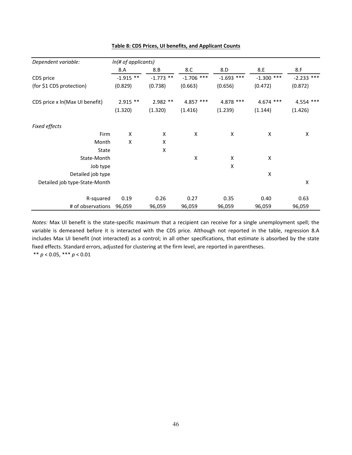| Dependent variable:            | In(# of applicants) |             |              |                    |                    |              |
|--------------------------------|---------------------|-------------|--------------|--------------------|--------------------|--------------|
|                                | 8.A                 | 8.B         | 8.C          | 8.D                | 8.E                | 8.F          |
| CDS price                      | $-1.915$ **         | $-1.773$ ** | $-1.706$ *** | $-1.693$ ***       | $-1.300$ ***       | $-2.233$ *** |
| (for \$1 CDS protection)       | (0.829)             | (0.738)     | (0.663)      | (0.656)            | (0.472)            | (0.872)      |
| CDS price x ln(Max UI benefit) | $2.915$ **          | $2.982**$   | 4.857 ***    | 4.878 ***          | $4.674$ ***        | 4.554 ***    |
|                                | (1.320)             | (1.320)     | (1.416)      | (1.239)            | (1.144)            | (1.426)      |
| Fixed effects                  |                     |             |              |                    |                    |              |
| Firm                           | Χ                   | Χ           | Χ            | X                  | $\pmb{\mathsf{X}}$ | Χ            |
| Month                          | X                   | Χ           |              |                    |                    |              |
| State                          |                     | X           |              |                    |                    |              |
| State-Month                    |                     |             | X            | $\pmb{\mathsf{X}}$ | Χ                  |              |
| Job type                       |                     |             |              | $\pmb{\mathsf{X}}$ |                    |              |
| Detailed job type              |                     |             |              |                    | Χ                  |              |
| Detailed job type-State-Month  |                     |             |              |                    |                    | Χ            |
| R-squared                      | 0.19                | 0.26        | 0.27         | 0.35               | 0.40               | 0.63         |
| # of observations              | 96,059              | 96,059      | 96,059       | 96,059             | 96,059             | 96,059       |

#### Table 8: CDS Prices, UI benefits, and Applicant Counts

Notes: Max UI benefit is the state-specific maximum that a recipient can receive for a single unemployment spell; the variable is demeaned before it is interacted with the CDS price. Although not reported in the table, regression 8.A includes Max UI benefit (not interacted) as a control; in all other specifications, that estimate is absorbed by the state fixed effects. Standard errors, adjusted for clustering at the firm level, are reported in parentheses.  $^{**}$   $p < 0.05,$   $^{***}$   $p < 0.01$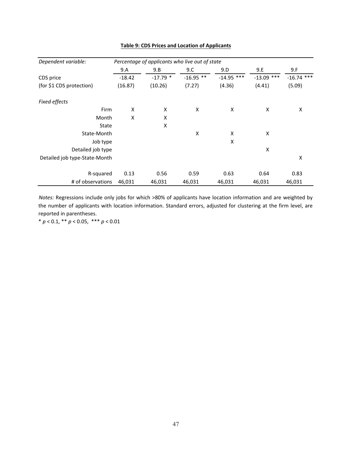| Dependent variable:           |          | Percentage of applicants who live out of state |             |              |              |              |
|-------------------------------|----------|------------------------------------------------|-------------|--------------|--------------|--------------|
|                               | 9.A      | 9.B                                            | 9.C         | 9.D          | 9.E          | 9.F          |
| CDS price                     | $-18.42$ | $-17.79$ *                                     | $-16.95$ ** | $-14.95$ *** | $-13.09$ *** | $-16.74$ *** |
| (for \$1 CDS protection)      | (16.87)  | (10.26)                                        | (7.27)      | (4.36)       | (4.41)       | (5.09)       |
| <b>Fixed effects</b>          |          |                                                |             |              |              |              |
| Firm                          | X        | X                                              | X           | X            | X            | X            |
| Month                         | X        | Χ                                              |             |              |              |              |
| State                         |          | X                                              |             |              |              |              |
| State-Month                   |          |                                                | X           | X            | X            |              |
| Job type                      |          |                                                |             | X            |              |              |
| Detailed job type             |          |                                                |             |              | X            |              |
| Detailed job type-State-Month |          |                                                |             |              |              | X            |
| R-squared                     | 0.13     | 0.56                                           | 0.59        | 0.63         | 0.64         | 0.83         |
| # of observations             | 46,031   | 46,031                                         | 46,031      | 46,031       | 46,031       | 46,031       |

### **Table 9: CDS Prices and Location of Applicants**

Notes: Regressions include only jobs for which >80% of applicants have location information and are weighted by the number of applicants with location information. Standard errors, adjusted for clustering at the firm level, are reported in parentheses.

\*  $p < 0.1$ , \*\*  $p < 0.05$ , \*\*\*  $p < 0.01$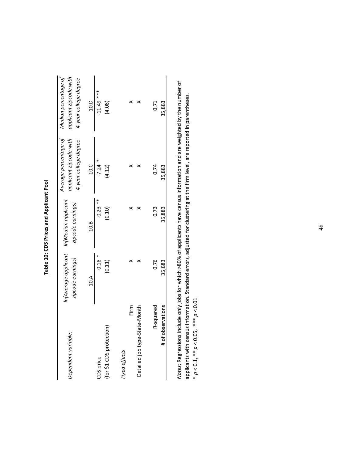| I                                                                                    |
|--------------------------------------------------------------------------------------|
|                                                                                      |
|                                                                                      |
|                                                                                      |
|                                                                                      |
|                                                                                      |
|                                                                                      |
|                                                                                      |
| J                                                                                    |
|                                                                                      |
|                                                                                      |
| $\mathbf{r}$                                                                         |
|                                                                                      |
|                                                                                      |
|                                                                                      |
|                                                                                      |
|                                                                                      |
|                                                                                      |
|                                                                                      |
| ֧֧֧֚֚֚֚֚֚֚֚֚֚֚֚֚֚֚֚֚֚֚֚֚֚֚֚֚֚֚֚֡֓֡֡֡֡֡֬֝֓֞֡֝֓֝֓                                      |
| è                                                                                    |
|                                                                                      |
| ֧֧֧֧֧֧֧֧֧֧ׅ֧֧֧֧֧֪֧֪֧֪֧֪֧֪֧֪֧֧֧֚֚֚֚֚֚֚֚֚֚֚֚֚֚֚֚֚֚֚֚֚֚֚֚֚֚֚֚֚֚֚֚֡֝֟֓֝֓֝֓֓֟֓֝֓֝֓֝֓֜֜֝֬֝ |
|                                                                                      |
|                                                                                      |
| ί                                                                                    |
| ī                                                                                    |
| ĵ                                                                                    |
|                                                                                      |

| Dependent variable:                   | In(Average applicant In(Median applicant<br>zipcode earnings) | zipcode earnings)    | Average percentage of<br>applicant zipcode with<br>4-year college degree | applicant zipcode with<br>Median percentage of<br>4-year college degree |
|---------------------------------------|---------------------------------------------------------------|----------------------|--------------------------------------------------------------------------|-------------------------------------------------------------------------|
|                                       | 10.A                                                          | 10.8                 | 10.C                                                                     | 10.D                                                                    |
| (for \$1 CDS protection)<br>CDS price | $-0.18$ *<br>(0.11)                                           | $-0.23$ **<br>(0.10) | $-7.24$ *<br>(4.12)                                                      | $-11.49$ ***<br>(4.08)                                                  |
| Fixed effects                         |                                                               |                      |                                                                          |                                                                         |
| Firm                                  | ×                                                             |                      |                                                                          |                                                                         |
| :ate-Month<br>Detailed job type-St    | ×                                                             |                      | ×                                                                        | ×                                                                       |
| R-squared                             | 0.76                                                          | 0.73                 | 0.74                                                                     | 0.71                                                                    |
| # of observations                     | 35,883                                                        | 35,883               | 35,883                                                                   | 35,883                                                                  |
|                                       |                                                               |                      |                                                                          |                                                                         |

Notes: Regressions include only jobs for which >80% of applicants have census information and are weighted by the number of applicants with census information. Standard errors, adjusted for clustering at the firm level, are reported in parentheses. \*  $p < 0.1$ , \*\*  $p < 0.05$ , \*\*\*  $p < 0.01$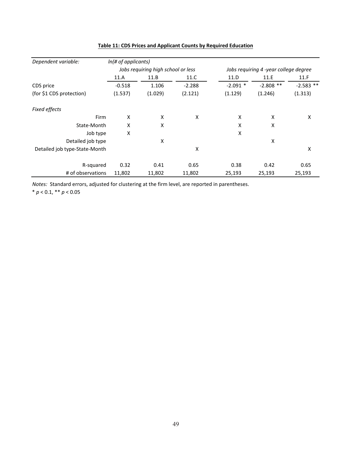| Dependent variable:           | In(# of applicants) |                                    |          |                                       |             |             |  |
|-------------------------------|---------------------|------------------------------------|----------|---------------------------------------|-------------|-------------|--|
|                               |                     | Jobs requiring high school or less |          | Jobs requiring 4 -year college degree |             |             |  |
|                               | 11.A                | 11.B                               | 11.C     | 11.D                                  | 11.E        | 11.F        |  |
| CDS price                     | $-0.518$            | 1.106                              | $-2.288$ | $-2.091$ *                            | $-2.808$ ** | $-2.583$ ** |  |
| (for \$1 CDS protection)      | (1.537)             | (1.029)                            | (2.121)  | (1.129)                               | (1.246)     | (1.313)     |  |
| <b>Fixed effects</b>          |                     |                                    |          |                                       |             |             |  |
| Firm                          | X                   | X                                  | X        | X                                     | X           | X           |  |
| State-Month                   | X                   | X                                  |          | X                                     | X           |             |  |
| Job type                      | X                   |                                    |          | X                                     |             |             |  |
| Detailed job type             |                     | X                                  |          |                                       | X           |             |  |
| Detailed job type-State-Month |                     |                                    | Χ        |                                       |             | Χ           |  |
| R-squared                     | 0.32                | 0.41                               | 0.65     | 0.38                                  | 0.42        | 0.65        |  |
| # of observations             | 11,802              | 11,802                             | 11,802   | 25,193                                | 25,193      | 25,193      |  |

# Table 11: CDS Prices and Applicant Counts by Required Education

Notes: Standard errors, adjusted for clustering at the firm level, are reported in parentheses.

\*  $p < 0.1,$  \*\*  $p < 0.05$